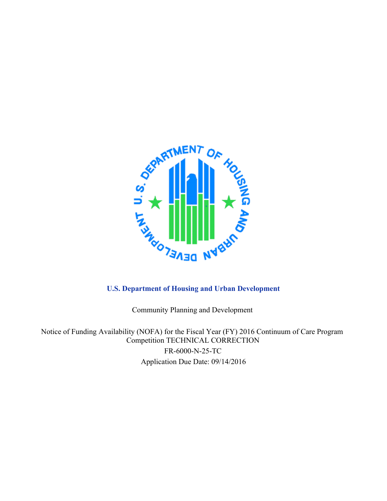

Community Planning and Development

Notice of Funding Availability (NOFA) for the Fiscal Year (FY) 2016 Continuum of Care Program Competition TECHNICAL CORRECTION FR-6000-N-25-TC Application Due Date: 09/14/2016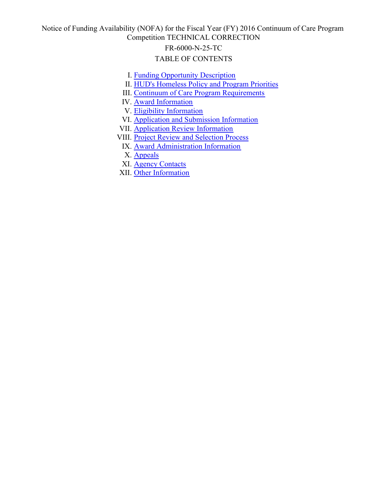Notice of Funding Availability (NOFA) for the Fiscal Year (FY) 2016 Continuum of Care Program Competition TECHNICAL CORRECTION

#### FR-6000-N-25-TC

#### TABLE OF CONTENTS

- I. [Funding Opportunity Description](#page-5-0)
- II. [HUD's Homeless Policy and Program Priorities](#page-8-0)
- III. [Continuum of Care Program Requirements](#page-15-0)
- IV. [Award Information](#page-19-0)
- V. [Eligibility Information](#page-21-0)
- VI. [Application and Submission Information](#page-29-0)
- VII. [Application Review Information](#page-34-0)
- VIII. [Project Review and Selection Process](#page-44-0)
	- IX. [Award Administration Information](#page-45-0)
	- X. [Appeals](#page-46-0)
	- XI. [Agency Contacts](#page-52-0)
- XII. [Other Information](#page-52-1)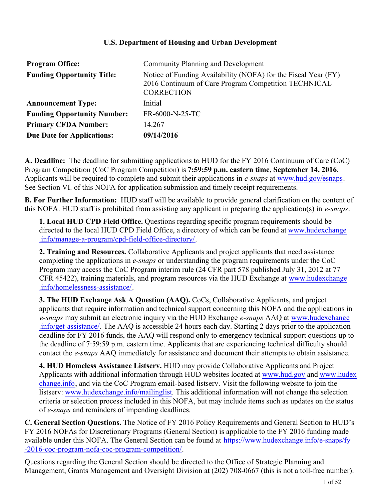#### **U.S. Department of Housing and Urban Development**

| <b>Program Office:</b>             | Community Planning and Development                                                                                                          |
|------------------------------------|---------------------------------------------------------------------------------------------------------------------------------------------|
| <b>Funding Opportunity Title:</b>  | Notice of Funding Availability (NOFA) for the Fiscal Year (FY)<br>2016 Continuum of Care Program Competition TECHNICAL<br><b>CORRECTION</b> |
| <b>Announcement Type:</b>          | Initial                                                                                                                                     |
| <b>Funding Opportunity Number:</b> | FR-6000-N-25-TC                                                                                                                             |
| <b>Primary CFDA Number:</b>        | 14.267                                                                                                                                      |
| <b>Due Date for Applications:</b>  | 09/14/2016                                                                                                                                  |

**A. Deadline:** The deadline for submitting applications to HUD for the FY 2016 Continuum of Care (CoC) Program Competition (CoC Program Competition) is **7:59:59 p.m. eastern time, September 14, 2016**. Applicants will be required to complete and submit their applications in *e-snaps* at [www.hud.gov/esnaps](http://www.hud.gov/esnaps). See Section VI. of this NOFA for application submission and timely receipt requirements.

**B. For Further Information:** HUD staff will be available to provide general clarification on the content of this NOFA. HUD staff is prohibited from assisting any applicant in preparing the application(s) in *e-snaps*.

**1. Local HUD CPD Field Office.** Questions regarding specific program requirements should be directed to the local HUD CPD Field Office, a directory of which can be found at [www.hudexchange](file:///C:/Users/H21869/AppData/Local/Microsoft/Windows/Temporary%20Internet%20Files/Content.Outlook/RSK5IRW8/www.hudexchange.info/manage-a-program/cpd-field-office-directory/) [.info/manage-a-program/cpd-field-office-directory/](file:///C:/Users/H21869/AppData/Local/Microsoft/Windows/Temporary%20Internet%20Files/Content.Outlook/RSK5IRW8/www.hudexchange.info/manage-a-program/cpd-field-office-directory/).

**2. Training and Resources.** Collaborative Applicants and project applicants that need assistance completing the applications in *e-snaps* or understanding the program requirements under the CoC Program may access the CoC Program interim rule (24 CFR part 578 published July 31, 2012 at 77 CFR 45422), training materials, and program resources via the HUD Exchange at [www.hudexchange](file:///C:/Users/H21869/AppData/Local/Microsoft/Windows/Temporary%20Internet%20Files/Content.Outlook/RSK5IRW8/www.hudexchange.info/homelessness-assistance/) [.info/homelessness-assistance/](file:///C:/Users/H21869/AppData/Local/Microsoft/Windows/Temporary%20Internet%20Files/Content.Outlook/RSK5IRW8/www.hudexchange.info/homelessness-assistance/).

**3. The HUD Exchange Ask A Question (AAQ).** CoCs, Collaborative Applicants, and project applicants that require information and technical support concerning this NOFA and the applications in *e-snaps* may submit an electronic inquiry via the HUD Exchange *e-snaps* AAQ at [www.hudexchange](http://www.hudexchange.info/get-assistance/) [.info/get-assistance/](http://www.hudexchange.info/get-assistance/). The AAQ is accessible 24 hours each day. Starting 2 days prior to the application deadline for FY 2016 funds, the AAQ will respond only to emergency technical support questions up to the deadline of 7:59:59 p.m. eastern time. Applicants that are experiencing technical difficulty should contact the *e-snaps* AAQ immediately for assistance and document their attempts to obtain assistance.

**4. HUD Homeless Assistance Listserv.** HUD may provide Collaborative Applicants and Project Applicants with additional information through HUD websites located at [www.hud.gov](http://www.hud.gov/) and [www.hudex](http://www.hudexchange.info/) [change.info](http://www.hudexchange.info/), and via the CoC Program email-based listserv. Visit the following website to join the listserv: [www.hudexchange.info/mailinglist](http://www.hudexchange.info/mailinglist). This additional information will not change the selection criteria or selection process included in this NOFA, but may include items such as updates on the status of *e-snaps* and reminders of impending deadlines.

**C. General Section Questions.** The Notice of FY 2016 Policy Requirements and General Section to HUD's FY 2016 NOFAs for Discretionary Programs (General Section) is applicable to the FY 2016 funding made available under this NOFA. The General Section can be found at [https://www.hudexchange.info/e-snaps/fy](https://www.hudexchange.info/e-snaps/fy-2016-coc-program-nofa-coc-program-competition/) [-2016-coc-program-nofa-coc-program-competition/](https://www.hudexchange.info/e-snaps/fy-2016-coc-program-nofa-coc-program-competition/).

Questions regarding the General Section should be directed to the Office of Strategic Planning and Management, Grants Management and Oversight Division at (202) 708-0667 (this is not a toll-free number).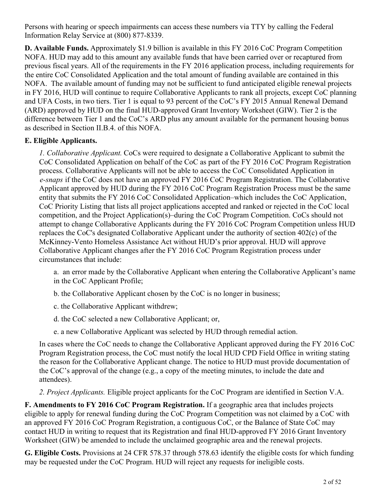Persons with hearing or speech impairments can access these numbers via TTY by calling the Federal Information Relay Service at (800) 877-8339.

**D. Available Funds.** Approximately \$1.9 billion is available in this FY 2016 CoC Program Competition NOFA. HUD may add to this amount any available funds that have been carried over or recaptured from previous fiscal years. All of the requirements in the FY 2016 application process, including requirements for the entire CoC Consolidated Application and the total amount of funding available are contained in this NOFA. The available amount of funding may not be sufficient to fund anticipated eligible renewal projects in FY 2016, HUD will continue to require Collaborative Applicants to rank all projects, except CoC planning and UFA Costs, in two tiers. Tier 1 is equal to 93 percent of the CoC's FY 2015 Annual Renewal Demand (ARD) approved by HUD on the final HUD-approved Grant Inventory Worksheet (GIW). Tier 2 is the difference between Tier 1 and the CoC's ARD plus any amount available for the permanent housing bonus as described in Section II.B.4. of this NOFA.

## **E. Eligible Applicants.**

*1. Collaborative Applicant.* CoCs were required to designate a Collaborative Applicant to submit the CoC Consolidated Application on behalf of the CoC as part of the FY 2016 CoC Program Registration process. Collaborative Applicants will not be able to access the CoC Consolidated Application in *e-snaps* if the CoC does not have an approved FY 2016 CoC Program Registration. The Collaborative Applicant approved by HUD during the FY 2016 CoC Program Registration Process must be the same entity that submits the FY 2016 CoC Consolidated Application–which includes the CoC Application, CoC Priority Listing that lists all project applications accepted and ranked or rejected in the CoC local competition, and the Project Application(s)–during the CoC Program Competition. CoCs should not attempt to change Collaborative Applicants during the FY 2016 CoC Program Competition unless HUD replaces the CoC's designated Collaborative Applicant under the authority of section 402(c) of the McKinney-Vento Homeless Assistance Act without HUD's prior approval. HUD will approve Collaborative Applicant changes after the FY 2016 CoC Program Registration process under circumstances that include:

a. an error made by the Collaborative Applicant when entering the Collaborative Applicant's name in the CoC Applicant Profile;

b. the Collaborative Applicant chosen by the CoC is no longer in business;

c. the Collaborative Applicant withdrew;

d. the CoC selected a new Collaborative Applicant; or,

e. a new Collaborative Applicant was selected by HUD through remedial action.

In cases where the CoC needs to change the Collaborative Applicant approved during the FY 2016 CoC Program Registration process, the CoC must notify the local HUD CPD Field Office in writing stating the reason for the Collaborative Applicant change. The notice to HUD must provide documentation of the CoC's approval of the change (e.g., a copy of the meeting minutes, to include the date and attendees).

*2. Project Applicants.* Eligible project applicants for the CoC Program are identified in Section V.A.

**F. Amendments to FY 2016 CoC Program Registration.** If a geographic area that includes projects eligible to apply for renewal funding during the CoC Program Competition was not claimed by a CoC with an approved FY 2016 CoC Program Registration, a contiguous CoC, or the Balance of State CoC may contact HUD in writing to request that its Registration and final HUD-approved FY 2016 Grant Inventory Worksheet (GIW) be amended to include the unclaimed geographic area and the renewal projects.

**G. Eligible Costs.** Provisions at 24 CFR 578.37 through 578.63 identify the eligible costs for which funding may be requested under the CoC Program. HUD will reject any requests for ineligible costs.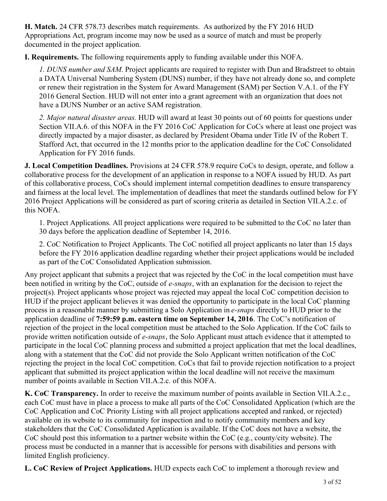**H. Match.** 24 CFR 578.73 describes match requirements. As authorized by the FY 2016 HUD Appropriations Act, program income may now be used as a source of match and must be properly documented in the project application.

**I. Requirements.** The following requirements apply to funding available under this NOFA.

*1. DUNS number and SAM*. Project applicants are required to register with Dun and Bradstreet to obtain a DATA Universal Numbering System (DUNS) number, if they have not already done so, and complete or renew their registration in the System for Award Management (SAM) per Section V.A.1. of the FY 2016 General Section. HUD will not enter into a grant agreement with an organization that does not have a DUNS Number or an active SAM registration.

*2. Major natural disaster areas.* HUD will award at least 30 points out of 60 points for questions under Section VII.A.6. of this NOFA in the FY 2016 CoC Application for CoCs where at least one project was directly impacted by a major disaster, as declared by President Obama under Title IV of the Robert T. Stafford Act, that occurred in the 12 months prior to the application deadline for the CoC Consolidated Application for FY 2016 funds.

**J. Local Competition Deadlines.** Provisions at 24 CFR 578.9 require CoCs to design, operate, and follow a collaborative process for the development of an application in response to a NOFA issued by HUD. As part of this collaborative process, CoCs should implement internal competition deadlines to ensure transparency and fairness at the local level. The implementation of deadlines that meet the standards outlined below for FY 2016 Project Applications will be considered as part of scoring criteria as detailed in Section VII.A.2.c. of this NOFA.

1. Project Applications. All project applications were required to be submitted to the CoC no later than 30 days before the application deadline of September 14, 2016.

2. CoC Notification to Project Applicants. The CoC notified all project applicants no later than 15 days before the FY 2016 application deadline regarding whether their project applications would be included as part of the CoC Consolidated Application submission.

Any project applicant that submits a project that was rejected by the CoC in the local competition must have been notified in writing by the CoC, outside of *e-snaps*, with an explanation for the decision to reject the project(s). Project applicants whose project was rejected may appeal the local CoC competition decision to HUD if the project applicant believes it was denied the opportunity to participate in the local CoC planning process in a reasonable manner by submitting a Solo Application in *e-snaps* directly to HUD prior to the application deadline of **7:59:59 p.m. eastern time on September 14, 2016**. The CoC's notification of rejection of the project in the local competition must be attached to the Solo Application. If the CoC fails to provide written notification outside of *e-snaps*, the Solo Applicant must attach evidence that it attempted to participate in the local CoC planning process and submitted a project application that met the local deadlines, along with a statement that the CoC did not provide the Solo Applicant written notification of the CoC rejecting the project in the local CoC competition. CoCs that fail to provide rejection notification to a project applicant that submitted its project application within the local deadline will not receive the maximum number of points available in Section VII.A.2.c. of this NOFA.

**K. CoC Transparency.** In order to receive the maximum number of points available in Section VII.A.2.c., each CoC must have in place a process to make all parts of the CoC Consolidated Application (which are the CoC Application and CoC Priority Listing with all project applications accepted and ranked, or rejected) available on its website to its community for inspection and to notify community members and key stakeholders that the CoC Consolidated Application is available. If the CoC does not have a website, the CoC should post this information to a partner website within the CoC (e.g., county/city website). The process must be conducted in a manner that is accessible for persons with disabilities and persons with limited English proficiency.

**L. CoC Review of Project Applications.** HUD expects each CoC to implement a thorough review and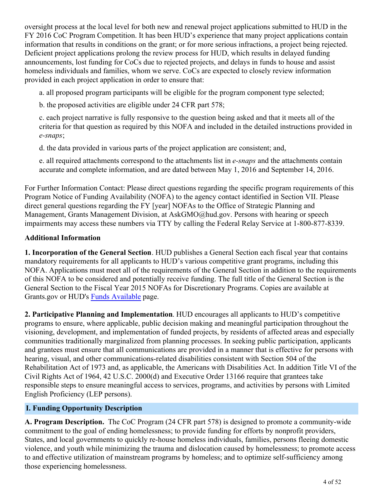oversight process at the local level for both new and renewal project applications submitted to HUD in the FY 2016 CoC Program Competition. It has been HUD's experience that many project applications contain information that results in conditions on the grant; or for more serious infractions, a project being rejected. Deficient project applications prolong the review process for HUD, which results in delayed funding announcements, lost funding for CoCs due to rejected projects, and delays in funds to house and assist homeless individuals and families, whom we serve. CoCs are expected to closely review information provided in each project application in order to ensure that:

a. all proposed program participants will be eligible for the program component type selected;

b. the proposed activities are eligible under 24 CFR part 578;

c. each project narrative is fully responsive to the question being asked and that it meets all of the criteria for that question as required by this NOFA and included in the detailed instructions provided in *e-snaps*;

d. the data provided in various parts of the project application are consistent; and,

e. all required attachments correspond to the attachments list in *e-snaps* and the attachments contain accurate and complete information, and are dated between May 1, 2016 and September 14, 2016.

For Further Information Contact: Please direct questions regarding the specific program requirements of this Program Notice of Funding Availability (NOFA) to the agency contact identified in Section VII. Please direct general questions regarding the FY [year] NOFAs to the Office of Strategic Planning and Management, Grants Management Division, at AskGMO@hud.gov. Persons with hearing or speech impairments may access these numbers via TTY by calling the Federal Relay Service at 1-800-877-8339.

# **Additional Information**

**1. Incorporation of the General Section**. HUD publishes a General Section each fiscal year that contains mandatory requirements for all applicants to HUD's various competitive grant programs, including this NOFA. Applications must meet all of the requirements of the General Section in addition to the requirements of this NOFA to be considered and potentially receive funding. The full title of the General Section is the General Section to the Fiscal Year 2015 NOFAs for Discretionary Programs. Copies are available at Grants.gov or HUD's [Funds Available](http://portal.hud.gov/hudportal/HUD?src=/program_offices/administration/grants/fundsavail) page.

**2. Participative Planning and Implementation**. HUD encourages all applicants to HUD's competitive programs to ensure, where applicable, public decision making and meaningful participation throughout the visioning, development, and implementation of funded projects, by residents of affected areas and especially communities traditionally marginalized from planning processes. In seeking public participation, applicants and grantees must ensure that all communications are provided in a manner that is effective for persons with hearing, visual, and other communications-related disabilities consistent with Section 504 of the Rehabilitation Act of 1973 and, as applicable, the Americans with Disabilities Act. In addition Title VI of the Civil Rights Act of 1964, 42 U.S.C. 2000(d) and Executive Order 13166 require that grantees take responsible steps to ensure meaningful access to services, programs, and activities by persons with Limited English Proficiency (LEP persons).

# <span id="page-5-0"></span>**I. Funding Opportunity Description**

**A. Program Description.** The CoC Program (24 CFR part 578) is designed to promote a community-wide commitment to the goal of ending homelessness; to provide funding for efforts by nonprofit providers, States, and local governments to quickly re-house homeless individuals, families, persons fleeing domestic violence, and youth while minimizing the trauma and dislocation caused by homelessness; to promote access to and effective utilization of mainstream programs by homeless; and to optimize self-sufficiency among those experiencing homelessness.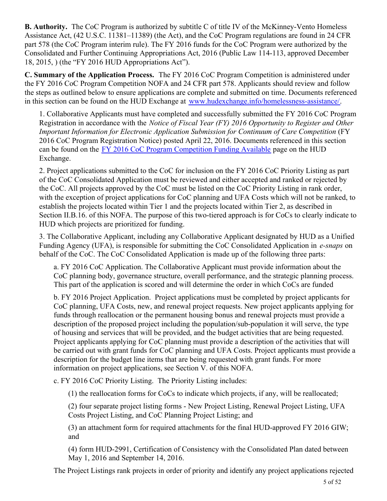**B. Authority.** The CoC Program is authorized by subtitle C of title IV of the McKinney-Vento Homeless Assistance Act, (42 U.S.C. 11381–11389) (the Act), and the CoC Program regulations are found in 24 CFR part 578 (the CoC Program interim rule). The FY 2016 funds for the CoC Program were authorized by the Consolidated and Further Continuing Appropriations Act, 2016 (Public Law 114-113, approved December 18, 2015, ) (the "FY 2016 HUD Appropriations Act").

**C. Summary of the Application Process.** The FY 2016 CoC Program Competition is administered under the FY 2016 CoC Program Competition NOFA and 24 CFR part 578. Applicants should review and follow the steps as outlined below to ensure applications are complete and submitted on time. Documents referenced in this section can be found on the HUD Exchange at [www.hudexchange.info/homelessness-assistance/](file:///C:/Users/H46451/AppData/Local/Microsoft/Windows/Temporary%20Internet%20Files/Content.Outlook/1N9ENDS9/www.hudexchange.info/homelessness-assistance/).

1. Collaborative Applicants must have completed and successfully submitted the FY 2016 CoC Program Registration in accordance with the *Notice of Fiscal Year (FY) 2016 Opportunity to Register and Other Important Information for Electronic Application Submission for Continuum of Care Competition* (FY 2016 CoC Program Registration Notice) posted April 22, 2016. Documents referenced in this section can be found on the [FY 2016 CoC Program Competition Funding Available](https://www.hudexchange.info/e-snaps/fy-2016-coc-program-nofa-coc-program-competition/) page on the HUD Exchange.

2. Project applications submitted to the CoC for inclusion on the FY 2016 CoC Priority Listing as part of the CoC Consolidated Application must be reviewed and either accepted and ranked or rejected by the CoC. All projects approved by the CoC must be listed on the CoC Priority Listing in rank order, with the exception of project applications for CoC planning and UFA Costs which will not be ranked, to establish the projects located within Tier 1 and the projects located within Tier 2, as described in Section II.B.16. of this NOFA. The purpose of this two-tiered approach is for CoCs to clearly indicate to HUD which projects are prioritized for funding.

3. The Collaborative Applicant, including any Collaborative Applicant designated by HUD as a Unified Funding Agency (UFA), is responsible for submitting the CoC Consolidated Application in *e-snaps* on behalf of the CoC. The CoC Consolidated Application is made up of the following three parts:

a. FY 2016 CoC Application. The Collaborative Applicant must provide information about the CoC planning body, governance structure, overall performance, and the strategic planning process. This part of the application is scored and will determine the order in which CoCs are funded

b. FY 2016 Project Application. Project applications must be completed by project applicants for CoC planning, UFA Costs, new, and renewal project requests. New project applicants applying for funds through reallocation or the permanent housing bonus and renewal projects must provide a description of the proposed project including the population/sub-population it will serve, the type of housing and services that will be provided, and the budget activities that are being requested. Project applicants applying for CoC planning must provide a description of the activities that will be carried out with grant funds for CoC planning and UFA Costs. Project applicants must provide a description for the budget line items that are being requested with grant funds. For more information on project applications, see Section V. of this NOFA.

c. FY 2016 CoC Priority Listing. The Priority Listing includes:

(1) the reallocation forms for CoCs to indicate which projects, if any, will be reallocated;

(2) four separate project listing forms - New Project Listing, Renewal Project Listing, UFA Costs Project Listing, and CoC Planning Project Listing; and

(3) an attachment form for required attachments for the final HUD-approved FY 2016 GIW; and

(4) form HUD-2991, Certification of Consistency with the Consolidated Plan dated between May 1, 2016 and September 14, 2016.

The Project Listings rank projects in order of priority and identify any project applications rejected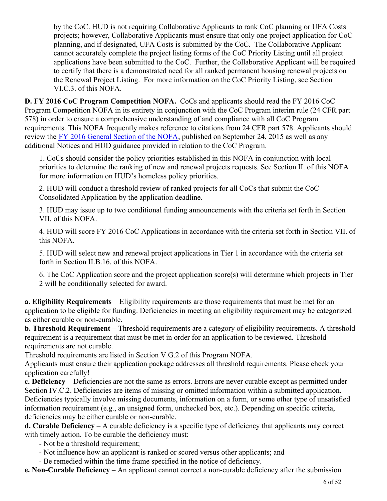by the CoC. HUD is not requiring Collaborative Applicants to rank CoC planning or UFA Costs projects; however, Collaborative Applicants must ensure that only one project application for CoC planning, and if designated, UFA Costs is submitted by the CoC. The Collaborative Applicant cannot accurately complete the project listing forms of the CoC Priority Listing until all project applications have been submitted to the CoC. Further, the Collaborative Applicant will be required to certify that there is a demonstrated need for all ranked permanent housing renewal projects on the Renewal Project Listing. For more information on the CoC Priority Listing, see Section VI.C.3. of this NOFA.

**D. FY 2016 CoC Program Competition NOFA.** CoCs and applicants should read the FY 2016 CoC Program Competition NOFA in its entirety in conjunction with the CoC Program interim rule (24 CFR part 578) in order to ensure a comprehensive understanding of and compliance with all CoC Program requirements. This NOFA frequently makes reference to citations from 24 CFR part 578. Applicants should review the [FY 2016 General Section of the NOFA](https://www.hudexchange.info/resource/4913/fy-2016-nofa-policy-requirements-and-general-section/), published on September 24, 2015 as well as any additional Notices and HUD guidance provided in relation to the CoC Program.

1. CoCs should consider the policy priorities established in this NOFA in conjunction with local priorities to determine the ranking of new and renewal projects requests. See Section II. of this NOFA for more information on HUD's homeless policy priorities.

2. HUD will conduct a threshold review of ranked projects for all CoCs that submit the CoC Consolidated Application by the application deadline.

3. HUD may issue up to two conditional funding announcements with the criteria set forth in Section VII. of this NOFA.

4. HUD will score FY 2016 CoC Applications in accordance with the criteria set forth in Section VII. of this NOFA.

5. HUD will select new and renewal project applications in Tier 1 in accordance with the criteria set forth in Section II.B.16. of this NOFA.

6. The CoC Application score and the project application score(s) will determine which projects in Tier 2 will be conditionally selected for award.

**a. Eligibility Requirements** – Eligibility requirements are those requirements that must be met for an application to be eligible for funding. Deficiencies in meeting an eligibility requirement may be categorized as either curable or non-curable.

**b. Threshold Requirement** – Threshold requirements are a category of eligibility requirements. A threshold requirement is a requirement that must be met in order for an application to be reviewed. Threshold requirements are not curable.

Threshold requirements are listed in Section V.G.2 of this Program NOFA.

Applicants must ensure their application package addresses all threshold requirements. Please check your application carefully!

**c. Deficiency** – Deficiencies are not the same as errors. Errors are never curable except as permitted under Section IV.C.2. Deficiencies are items of missing or omitted information within a submitted application. Deficiencies typically involve missing documents, information on a form, or some other type of unsatisfied information requirement (e.g., an unsigned form, unchecked box, etc.). Depending on specific criteria, deficiencies may be either curable or non-curable.

**d. Curable Deficiency** – A curable deficiency is a specific type of deficiency that applicants may correct with timely action. To be curable the deficiency must:

- Not be a threshold requirement;

- Not influence how an applicant is ranked or scored versus other applicants; and
- Be remedied within the time frame specified in the notice of deficiency.

**e. Non-Curable Deficiency** – An applicant cannot correct a non-curable deficiency after the submission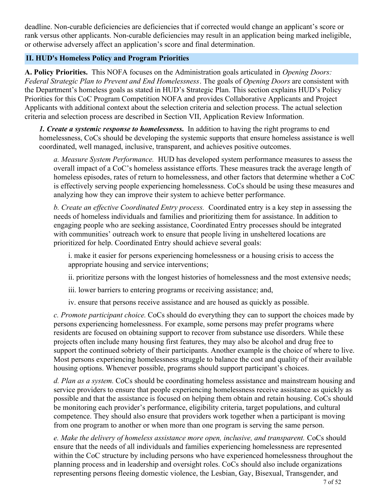deadline. Non-curable deficiencies are deficiencies that if corrected would change an applicant's score or rank versus other applicants. Non-curable deficiencies may result in an application being marked ineligible, or otherwise adversely affect an application's score and final determination.

#### <span id="page-8-0"></span>**II. HUD's Homeless Policy and Program Priorities**

**A. Policy Priorities.** This NOFA focuses on the Administration goals articulated in *Opening Doors: Federal Strategic Plan to Prevent and End Homelessness*. The goals of *Opening Doors* are consistent with the Department's homeless goals as stated in HUD's Strategic Plan. This section explains HUD's Policy Priorities for this CoC Program Competition NOFA and provides Collaborative Applicants and Project Applicants with additional context about the selection criteria and selection process. The actual selection criteria and selection process are described in Section VII, Application Review Information.

*1. Create a systemic response to homelessness***.** In addition to having the right programs to end homelessness, CoCs should be developing the systemic supports that ensure homeless assistance is well coordinated, well managed, inclusive, transparent, and achieves positive outcomes.

*a. Measure System Performance.* HUD has developed system performance measures to assess the overall impact of a CoC's homeless assistance efforts. These measures track the average length of homeless episodes, rates of return to homelessness, and other factors that determine whether a CoC is effectively serving people experiencing homelessness. CoCs should be using these measures and analyzing how they can improve their system to achieve better performance.

*b. Create an effective Coordinated Entry process.* Coordinated entry is a key step in assessing the needs of homeless individuals and families and prioritizing them for assistance. In addition to engaging people who are seeking assistance, Coordinated Entry processes should be integrated with communities' outreach work to ensure that people living in unsheltered locations are prioritized for help. Coordinated Entry should achieve several goals:

i. make it easier for persons experiencing homelessness or a housing crisis to access the appropriate housing and service interventions;

ii. prioritize persons with the longest histories of homelessness and the most extensive needs;

iii. lower barriers to entering programs or receiving assistance; and,

iv. ensure that persons receive assistance and are housed as quickly as possible.

*c. Promote participant choice.* CoCs should do everything they can to support the choices made by persons experiencing homelessness. For example, some persons may prefer programs where residents are focused on obtaining support to recover from substance use disorders. While these projects often include many housing first features, they may also be alcohol and drug free to support the continued sobriety of their participants. Another example is the choice of where to live. Most persons experiencing homelessness struggle to balance the cost and quality of their available housing options. Whenever possible, programs should support participant's choices.

*d. Plan as a system.* CoCs should be coordinating homeless assistance and mainstream housing and service providers to ensure that people experiencing homelessness receive assistance as quickly as possible and that the assistance is focused on helping them obtain and retain housing. CoCs should be monitoring each provider's performance, eligibility criteria, target populations, and cultural competence. They should also ensure that providers work together when a participant is moving from one program to another or when more than one program is serving the same person.

*e. Make the delivery of homeless assistance more open, inclusive, and transparent.* CoCs should ensure that the needs of all individuals and families experiencing homelessness are represented within the CoC structure by including persons who have experienced homelessness throughout the planning process and in leadership and oversight roles. CoCs should also include organizations representing persons fleeing domestic violence, the Lesbian, Gay, Bisexual, Transgender, and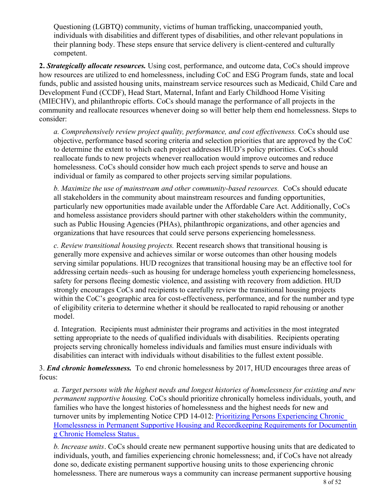Questioning (LGBTQ) community, victims of human trafficking, unaccompanied youth, individuals with disabilities and different types of disabilities, and other relevant populations in their planning body. These steps ensure that service delivery is client-centered and culturally competent.

**2.** *Strategically allocate resources.* Using cost, performance, and outcome data, CoCs should improve how resources are utilized to end homelessness, including CoC and ESG Program funds, state and local funds, public and assisted housing units, mainstream service resources such as Medicaid, Child Care and Development Fund (CCDF), Head Start, Maternal, Infant and Early Childhood Home Visiting (MIECHV), and philanthropic efforts. CoCs should manage the performance of all projects in the community and reallocate resources whenever doing so will better help them end homelessness. Steps to consider:

*a. Comprehensively review project quality, performance, and cost effectiveness.* CoCs should use objective, performance based scoring criteria and selection priorities that are approved by the CoC to determine the extent to which each project addresses HUD's policy priorities. CoCs should reallocate funds to new projects whenever reallocation would improve outcomes and reduce homelessness. CoCs should consider how much each project spends to serve and house an individual or family as compared to other projects serving similar populations.

*b. Maximize the use of mainstream and other community-based resources.* CoCs should educate all stakeholders in the community about mainstream resources and funding opportunities, particularly new opportunities made available under the Affordable Care Act. Additionally, CoCs and homeless assistance providers should partner with other stakeholders within the community, such as Public Housing Agencies (PHAs), philanthropic organizations, and other agencies and organizations that have resources that could serve persons experiencing homelessness.

*c. Review transitional housing projects.* Recent research shows that transitional housing is generally more expensive and achieves similar or worse outcomes than other housing models serving similar populations. HUD recognizes that transitional housing may be an effective tool for addressing certain needs–such as housing for underage homeless youth experiencing homelessness, safety for persons fleeing domestic violence, and assisting with recovery from addiction. HUD strongly encourages CoCs and recipients to carefully review the transitional housing projects within the CoC's geographic area for cost-effectiveness, performance, and for the number and type of eligibility criteria to determine whether it should be reallocated to rapid rehousing or another model.

d. Integration. Recipients must administer their programs and activities in the most integrated setting appropriate to the needs of qualified individuals with disabilities. Recipients operating projects serving chronically homeless individuals and families must ensure individuals with disabilities can interact with individuals without disabilities to the fullest extent possible.

3. *End chronic homelessness.* To end chronic homelessness by 2017, HUD encourages three areas of focus:

*a. Target persons with the highest needs and longest histories of homelessness for existing and new permanent supportive housing.* CoCs should prioritize chronically homeless individuals, youth, and families who have the longest histories of homelessness and the highest needs for new and turnover units by implementing Notice CPD 14-012: [Prioritizing Persons Experiencing Chronic](https://www.hudexchange.info/resource/3897/notice-cpd-14-012-prioritizing-persons-experiencing-chronic-homelessness-in-psh-and-recordkeeping-requirements/) [Homelessness in Permanent Supportive Housing and Recordkeeping Requirements for Documentin](https://www.hudexchange.info/resource/3897/notice-cpd-14-012-prioritizing-persons-experiencing-chronic-homelessness-in-psh-and-recordkeeping-requirements/) [g Chronic Homeless Status](https://www.hudexchange.info/resource/3897/notice-cpd-14-012-prioritizing-persons-experiencing-chronic-homelessness-in-psh-and-recordkeeping-requirements/) [.](https://www.hudexchange.info/resource/3897/notice-cpd-14-012-prioritizing-persons-experiencing-chronic-homelessness-in-psh-and-recordkeeping-requirements/)

*b. Increase units*. CoCs should create new permanent supportive housing units that are dedicated to individuals, youth, and families experiencing chronic homelessness; and, if CoCs have not already done so, dedicate existing permanent supportive housing units to those experiencing chronic homelessness. There are numerous ways a community can increase permanent supportive housing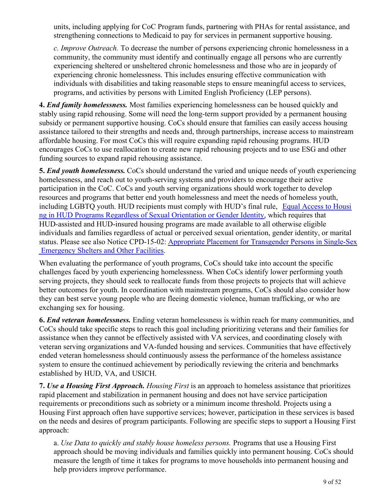units, including applying for CoC Program funds, partnering with PHAs for rental assistance, and strengthening connections to Medicaid to pay for services in permanent supportive housing.

*c. Improve Outreach.* To decrease the number of persons experiencing chronic homelessness in a community, the community must identify and continually engage all persons who are currently experiencing sheltered or unsheltered chronic homelessness and those who are in jeopardy of experiencing chronic homelessness. This includes ensuring effective communication with individuals with disabilities and taking reasonable steps to ensure meaningful access to services, programs, and activities by persons with Limited English Proficiency (LEP persons).

**4.** *End family homelessness.* Most families experiencing homelessness can be housed quickly and stably using rapid rehousing. Some will need the long-term support provided by a permanent housing subsidy or permanent supportive housing. CoCs should ensure that families can easily access housing assistance tailored to their strengths and needs and, through partnerships, increase access to mainstream affordable housing. For most CoCs this will require expanding rapid rehousing programs. HUD encourages CoCs to use reallocation to create new rapid rehousing projects and to use ESG and other funding sources to expand rapid rehousing assistance.

**5.** *End youth homelessness.* CoCs should understand the varied and unique needs of youth experiencing homelessness, and reach out to youth-serving systems and providers to encourage their active participation in the CoC. CoCs and youth serving organizations should work together to develop resources and programs that better end youth homelessness and meet the needs of homeless youth, including LGBTQ youth. HUD recipients must comply with HUD's final rule, [Equal Access to Housi](https://www.hudexchange.info/resource/1991/equal-access-to-housing-final-rule/) [ng in HUD Programs Regardless of Sexual Orientation or Gender Identity](https://www.hudexchange.info/resource/1991/equal-access-to-housing-final-rule/), which requires that HUD-assisted and HUD-insured housing programs are made available to all otherwise eligible individuals and families regardless of actual or perceived sexual orientation, gender identity, or marital status. Please see also Notice CPD-15-02: [Appropriate Placement for Transgender Persons in Single-Sex](https://www.hudexchange.info/resource/4428/notice-cpd-15-02-appropriate-placement-for-transgender-persons-in-single-sex-emergency-shelters-and-other-facilities/)  [Emergency Shelters and Other Facilities](https://www.hudexchange.info/resource/4428/notice-cpd-15-02-appropriate-placement-for-transgender-persons-in-single-sex-emergency-shelters-and-other-facilities/).

When evaluating the performance of youth programs, CoCs should take into account the specific challenges faced by youth experiencing homelessness. When CoCs identify lower performing youth serving projects, they should seek to reallocate funds from those projects to projects that will achieve better outcomes for youth. In coordination with mainstream programs, CoCs should also consider how they can best serve young people who are fleeing domestic violence, human trafficking, or who are exchanging sex for housing.

**6.** *End veteran homelessness.* Ending veteran homelessness is within reach for many communities, and CoCs should take specific steps to reach this goal including prioritizing veterans and their families for assistance when they cannot be effectively assisted with VA services, and coordinating closely with veteran serving organizations and VA-funded housing and services. Communities that have effectively ended veteran homelessness should continuously assess the performance of the homeless assistance system to ensure the continued achievement by periodically reviewing the criteria and benchmarks established by HUD, VA, and USICH.

**7.** *Use a Housing First Approach. Housing First* is an approach to homeless assistance that prioritizes rapid placement and stabilization in permanent housing and does not have service participation requirements or preconditions such as sobriety or a minimum income threshold. Projects using a Housing First approach often have supportive services; however, participation in these services is based on the needs and desires of program participants. Following are specific steps to support a Housing First approach:

a. *Use Data to quickly and stably house homeless persons.* Programs that use a Housing First approach should be moving individuals and families quickly into permanent housing. CoCs should measure the length of time it takes for programs to move households into permanent housing and help providers improve performance.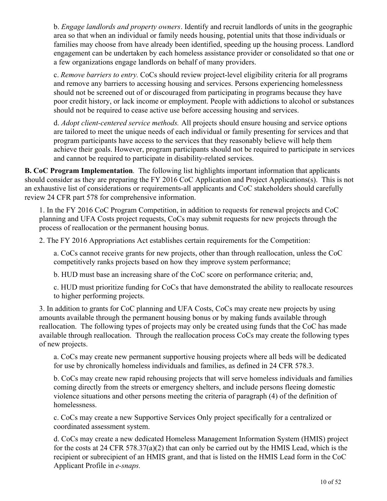b. *Engage landlords and property owners*. Identify and recruit landlords of units in the geographic area so that when an individual or family needs housing, potential units that those individuals or families may choose from have already been identified, speeding up the housing process. Landlord engagement can be undertaken by each homeless assistance provider or consolidated so that one or a few organizations engage landlords on behalf of many providers.

c. *Remove barriers to entry.* CoCs should review project-level eligibility criteria for all programs and remove any barriers to accessing housing and services. Persons experiencing homelessness should not be screened out of or discouraged from participating in programs because they have poor credit history, or lack income or employment. People with addictions to alcohol or substances should not be required to cease active use before accessing housing and services.

d. *Adopt client-centered service methods.* All projects should ensure housing and service options are tailored to meet the unique needs of each individual or family presenting for services and that program participants have access to the services that they reasonably believe will help them achieve their goals. However, program participants should not be required to participate in services and cannot be required to participate in disability-related services.

**B. CoC Program Implementation**. The following list highlights important information that applicants should consider as they are preparing the FY 2016 CoC Application and Project Applications(s). This is not an exhaustive list of considerations or requirements-all applicants and CoC stakeholders should carefully review 24 CFR part 578 for comprehensive information.

1. In the FY 2016 CoC Program Competition, in addition to requests for renewal projects and CoC planning and UFA Costs project requests, CoCs may submit requests for new projects through the process of reallocation or the permanent housing bonus.

2. The FY 2016 Appropriations Act establishes certain requirements for the Competition:

a. CoCs cannot receive grants for new projects, other than through reallocation, unless the CoC competitively ranks projects based on how they improve system performance;

b. HUD must base an increasing share of the CoC score on performance criteria; and,

c. HUD must prioritize funding for CoCs that have demonstrated the ability to reallocate resources to higher performing projects.

3. In addition to grants for CoC planning and UFA Costs, CoCs may create new projects by using amounts available through the permanent housing bonus or by making funds available through reallocation. The following types of projects may only be created using funds that the CoC has made available through reallocation. Through the reallocation process CoCs may create the following types of new projects.

a. CoCs may create new permanent supportive housing projects where all beds will be dedicated for use by chronically homeless individuals and families, as defined in 24 CFR 578.3.

b. CoCs may create new rapid rehousing projects that will serve homeless individuals and families coming directly from the streets or emergency shelters, and include persons fleeing domestic violence situations and other persons meeting the criteria of paragraph (4) of the definition of homelessness.

c. CoCs may create a new Supportive Services Only project specifically for a centralized or coordinated assessment system.

d. CoCs may create a new dedicated Homeless Management Information System (HMIS) project for the costs at 24 CFR 578.37(a)(2) that can only be carried out by the HMIS Lead, which is the recipient or subrecipient of an HMIS grant, and that is listed on the HMIS Lead form in the CoC Applicant Profile in *e-snaps.*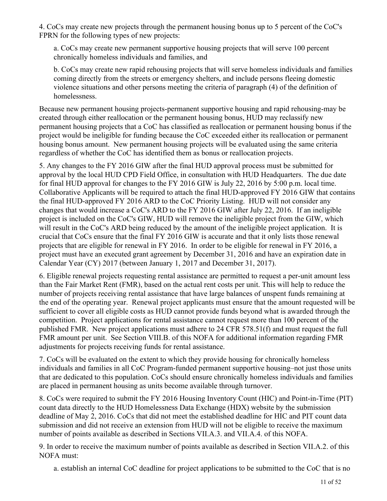4. CoCs may create new projects through the permanent housing bonus up to 5 percent of the CoC's FPRN for the following types of new projects:

a. CoCs may create new permanent supportive housing projects that will serve 100 percent chronically homeless individuals and families, and

b. CoCs may create new rapid rehousing projects that will serve homeless individuals and families coming directly from the streets or emergency shelters, and include persons fleeing domestic violence situations and other persons meeting the criteria of paragraph (4) of the definition of homelessness.

Because new permanent housing projects-permanent supportive housing and rapid rehousing-may be created through either reallocation or the permanent housing bonus, HUD may reclassify new permanent housing projects that a CoC has classified as reallocation or permanent housing bonus if the project would be ineligible for funding because the CoC exceeded either its reallocation or permanent housing bonus amount. New permanent housing projects will be evaluated using the same criteria regardless of whether the CoC has identified them as bonus or reallocation projects.

5. Any changes to the FY 2016 GIW after the final HUD approval process must be submitted for approval by the local HUD CPD Field Office, in consultation with HUD Headquarters. The due date for final HUD approval for changes to the FY 2016 GIW is July 22, 2016 by 5:00 p.m. local time. Collaborative Applicants will be required to attach the final HUD-approved FY 2016 GIW that contains the final HUD-approved FY 2016 ARD to the CoC Priority Listing. HUD will not consider any changes that would increase a CoC's ARD to the FY 2016 GIW after July 22, 2016. If an ineligible project is included on the CoC's GIW, HUD will remove the ineligible project from the GIW, which will result in the CoC's ARD being reduced by the amount of the ineligible project application. It is crucial that CoCs ensure that the final FY 2016 GIW is accurate and that it only lists those renewal projects that are eligible for renewal in FY 2016. In order to be eligible for renewal in FY 2016, a project must have an executed grant agreement by December 31, 2016 and have an expiration date in Calendar Year (CY) 2017 (between January 1, 2017 and December 31, 2017).

6. Eligible renewal projects requesting rental assistance are permitted to request a per-unit amount less than the Fair Market Rent (FMR), based on the actual rent costs per unit. This will help to reduce the number of projects receiving rental assistance that have large balances of unspent funds remaining at the end of the operating year. Renewal project applicants must ensure that the amount requested will be sufficient to cover all eligible costs as HUD cannot provide funds beyond what is awarded through the competition. Project applications for rental assistance cannot request more than 100 percent of the published FMR. New project applications must adhere to 24 CFR 578.51(f) and must request the full FMR amount per unit. See Section VIII.B. of this NOFA for additional information regarding FMR adjustments for projects receiving funds for rental assistance.

7. CoCs will be evaluated on the extent to which they provide housing for chronically homeless individuals and families in all CoC Program-funded permanent supportive housing–not just those units that are dedicated to this population. CoCs should ensure chronically homeless individuals and families are placed in permanent housing as units become available through turnover.

8. CoCs were required to submit the FY 2016 Housing Inventory Count (HIC) and Point-in-Time (PIT) count data directly to the HUD Homelessness Data Exchange (HDX) website by the submission deadline of May 2, 2016. CoCs that did not meet the established deadline for HIC and PIT count data submission and did not receive an extension from HUD will not be eligible to receive the maximum number of points available as described in Sections VII.A.3. and VII.A.4. of this NOFA.

9. In order to receive the maximum number of points available as described in Section VII.A.2. of this NOFA must:

a. establish an internal CoC deadline for project applications to be submitted to the CoC that is no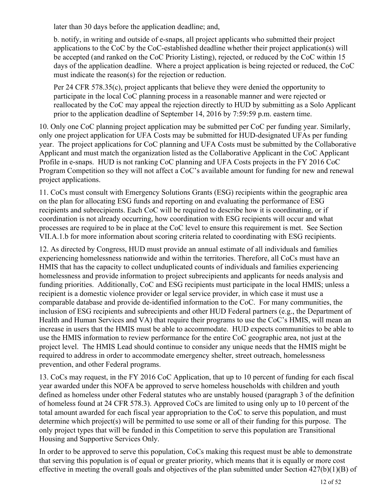later than 30 days before the application deadline; and,

b. notify, in writing and outside of e-snaps, all project applicants who submitted their project applications to the CoC by the CoC-established deadline whether their project application(s) will be accepted (and ranked on the CoC Priority Listing), rejected, or reduced by the CoC within 15 days of the application deadline. Where a project application is being rejected or reduced, the CoC must indicate the reason(s) for the rejection or reduction.

Per 24 CFR 578.35(c), project applicants that believe they were denied the opportunity to participate in the local CoC planning process in a reasonable manner and were rejected or reallocated by the CoC may appeal the rejection directly to HUD by submitting as a Solo Applicant prior to the application deadline of September 14, 2016 by 7:59:59 p.m. eastern time.

10. Only one CoC planning project application may be submitted per CoC per funding year. Similarly, only one project application for UFA Costs may be submitted for HUD-designated UFAs per funding year. The project applications for CoC planning and UFA Costs must be submitted by the Collaborative Applicant and must match the organization listed as the Collaborative Applicant in the CoC Applicant Profile in e-snaps. HUD is not ranking CoC planning and UFA Costs projects in the FY 2016 CoC Program Competition so they will not affect a CoC's available amount for funding for new and renewal project applications.

11. CoCs must consult with Emergency Solutions Grants (ESG) recipients within the geographic area on the plan for allocating ESG funds and reporting on and evaluating the performance of ESG recipients and subrecipients. Each CoC will be required to describe how it is coordinating, or if coordination is not already occurring, how coordination with ESG recipients will occur and what processes are required to be in place at the CoC level to ensure this requirement is met. See Section VII.A.1.b for more information about scoring criteria related to coordinating with ESG recipients.

12. As directed by Congress, HUD must provide an annual estimate of all individuals and families experiencing homelessness nationwide and within the territories. Therefore, all CoCs must have an HMIS that has the capacity to collect unduplicated counts of individuals and families experiencing homelessness and provide information to project subrecipients and applicants for needs analysis and funding priorities. Additionally, CoC and ESG recipients must participate in the local HMIS; unless a recipient is a domestic violence provider or legal service provider, in which case it must use a comparable database and provide de-identified information to the CoC. For many communities, the inclusion of ESG recipients and subrecipients and other HUD Federal partners (e.g., the Department of Health and Human Services and VA) that require their programs to use the CoC's HMIS, will mean an increase in users that the HMIS must be able to accommodate. HUD expects communities to be able to use the HMIS information to review performance for the entire CoC geographic area, not just at the project level. The HMIS Lead should continue to consider any unique needs that the HMIS might be required to address in order to accommodate emergency shelter, street outreach, homelessness prevention, and other Federal programs.

13. CoCs may request, in the FY 2016 CoC Application, that up to 10 percent of funding for each fiscal year awarded under this NOFA be approved to serve homeless households with children and youth defined as homeless under other Federal statutes who are unstably housed (paragraph 3 of the definition of homeless found at 24 CFR 578.3). Approved CoCs are limited to using only up to 10 percent of the total amount awarded for each fiscal year appropriation to the CoC to serve this population, and must determine which project(s) will be permitted to use some or all of their funding for this purpose. The only project types that will be funded in this Competition to serve this population are Transitional Housing and Supportive Services Only.

In order to be approved to serve this population, CoCs making this request must be able to demonstrate that serving this population is of equal or greater priority, which means that it is equally or more cost effective in meeting the overall goals and objectives of the plan submitted under Section 427(b)(1)(B) of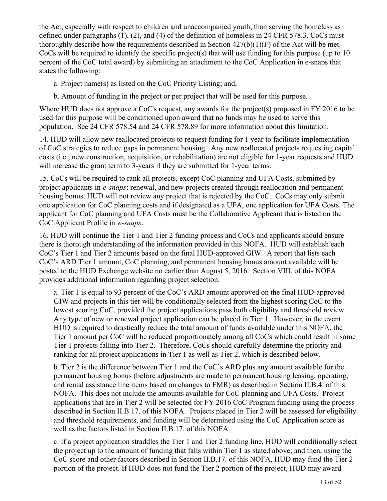the Act, especially with respect to children and unaccompanied youth, than serving the homeless as defined under paragraphs (1), (2), and (4) of the definition of homeless in 24 CFR 578.3. CoCs must thoroughly describe how the requirements described in Section 427(b)(1)(F) of the Act will be met. CoCs will be required to identify the specific project(s) that will use funding for this purpose (up to 10 percent of the CoC total award) by submitting an attachment to the CoC Application in e-snaps that states the following:

a. Project name(s) as listed on the CoC Priority Listing; and,

b. Amount of funding in the project or per project that will be used for this purpose.

Where HUD does not approve a CoC's request, any awards for the project(s) proposed in FY 2016 to be used for this purpose will be conditioned upon award that no funds may be used to serve this population. See 24 CFR 578.54 and 24 CFR 578.89 for more information about this limitation.

14. HUD will allow new reallocated projects to request funding for 1 year to facilitate implementation of CoC strategies to reduce gaps in permanent housing. Any new reallocated projects requesting capital costs (i.e., new construction, acquisition, or rehabilitation) are not eligible for 1-year requests and HUD will increase the grant term to 3-years if they are submitted for 1-year terms.

15. CoCs will be required to rank all projects, except CoC planning and UFA Costs, submitted by project applicants in *e-snaps*: renewal, and new projects created through reallocation and permanent housing bonus. HUD will not review any project that is rejected by the CoC. CoCs may only submit one application for CoC planning costs and if designated as a UFA, one application for UFA Costs. The applicant for CoC planning and UFA Costs must be the Collaborative Applicant that is listed on the CoC Applicant Profile in *e-snaps*.

16. HUD will continue the Tier 1 and Tier 2 funding process and CoCs and applicants should ensure there is thorough understanding of the information provided in this NOFA. HUD will establish each CoC's Tier 1 and Tier 2 amounts based on the final HUD-approved GIW. A report that lists each CoC's ARD Tier 1 amount, CoC planning, and permanent housing bonus amount available will be posted to the HUD Exchange website no earlier than August 5, 2016. Section VIII. of this NOFA provides additional information regarding project selection.

a. Tier 1 is equal to 93 percent of the CoC's ARD amount approved on the final HUD-approved GIW and projects in this tier will be conditionally selected from the highest scoring CoC to the lowest scoring CoC, provided the project applications pass both eligibility and threshold review. Any type of new or renewal project application can be placed in Tier 1. However, in the event HUD is required to drastically reduce the total amount of funds available under this NOFA, the Tier 1 amount per CoC will be reduced proportionately among all CoCs which could result in some Tier 1 projects falling into Tier 2. Therefore, CoCs should carefully determine the priority and ranking for all project applications in Tier 1 as well as Tier 2, which is described below.

b. Tier 2 is the difference between Tier 1 and the CoC's ARD plus any amount available for the permanent housing bonus (before adjustments are made to permanent housing leasing, operating, and rental assistance line items based on changes to FMR) as described in Section II.B.4. of this NOFA. This does not include the amounts available for CoC planning and UFA Costs. Project applications that are in Tier 2 will be selected for FY 2016 CoC Program funding using the process described in Section II.B.17. of this NOFA. Projects placed in Tier 2 will be assessed for eligibility and threshold requirements, and funding will be determined using the CoC Application score as well as the factors listed in Section II.B.17. of this NOFA.

c. If a project application straddles the Tier 1 and Tier 2 funding line, HUD will conditionally select the project up to the amount of funding that falls within Tier 1 as stated above; and then, using the CoC score and other factors described in Section II.B.17. of this NOFA, HUD may fund the Tier 2 portion of the project. If HUD does not fund the Tier 2 portion of the project, HUD may award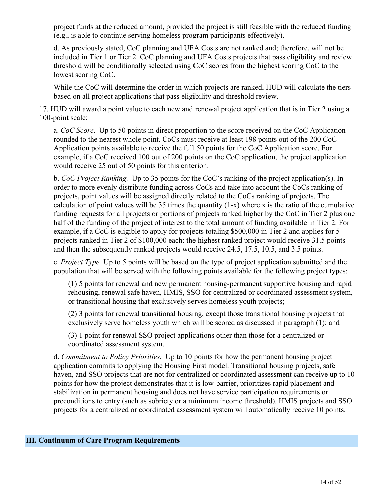project funds at the reduced amount, provided the project is still feasible with the reduced funding (e.g., is able to continue serving homeless program participants effectively).

d. As previously stated, CoC planning and UFA Costs are not ranked and; therefore, will not be included in Tier 1 or Tier 2. CoC planning and UFA Costs projects that pass eligibility and review threshold will be conditionally selected using CoC scores from the highest scoring CoC to the lowest scoring CoC.

While the CoC will determine the order in which projects are ranked, HUD will calculate the tiers based on all project applications that pass eligibility and threshold review.

17. HUD will award a point value to each new and renewal project application that is in Tier 2 using a 100-point scale:

a. *CoC Score*. Up to 50 points in direct proportion to the score received on the CoC Application rounded to the nearest whole point. CoCs must receive at least 198 points out of the 200 CoC Application points available to receive the full 50 points for the CoC Application score. For example, if a CoC received 100 out of 200 points on the CoC application, the project application would receive 25 out of 50 points for this criterion.

b. *CoC Project Ranking.* Up to 35 points for the CoC's ranking of the project application(s). In order to more evenly distribute funding across CoCs and take into account the CoCs ranking of projects, point values will be assigned directly related to the CoCs ranking of projects. The calculation of point values will be 35 times the quantity (1-x) where x is the ratio of the cumulative funding requests for all projects or portions of projects ranked higher by the CoC in Tier 2 plus one half of the funding of the project of interest to the total amount of funding available in Tier 2. For example, if a CoC is eligible to apply for projects totaling \$500,000 in Tier 2 and applies for 5 projects ranked in Tier 2 of \$100,000 each: the highest ranked project would receive 31.5 points and then the subsequently ranked projects would receive 24.5, 17.5, 10.5, and 3.5 points.

c. *Project Type.* Up to 5 points will be based on the type of project application submitted and the population that will be served with the following points available for the following project types:

(1) 5 points for renewal and new permanent housing-permanent supportive housing and rapid rehousing, renewal safe haven, HMIS, SSO for centralized or coordinated assessment system, or transitional housing that exclusively serves homeless youth projects;

(2) 3 points for renewal transitional housing, except those transitional housing projects that exclusively serve homeless youth which will be scored as discussed in paragraph (1); and

(3) 1 point for renewal SSO project applications other than those for a centralized or coordinated assessment system.

d. *Commitment to Policy Priorities.* Up to 10 points for how the permanent housing project application commits to applying the Housing First model. Transitional housing projects, safe haven, and SSO projects that are not for centralized or coordinated assessment can receive up to 10 points for how the project demonstrates that it is low-barrier, prioritizes rapid placement and stabilization in permanent housing and does not have service participation requirements or preconditions to entry (such as sobriety or a minimum income threshold). HMIS projects and SSO projects for a centralized or coordinated assessment system will automatically receive 10 points.

#### <span id="page-15-0"></span>**III. Continuum of Care Program Requirements**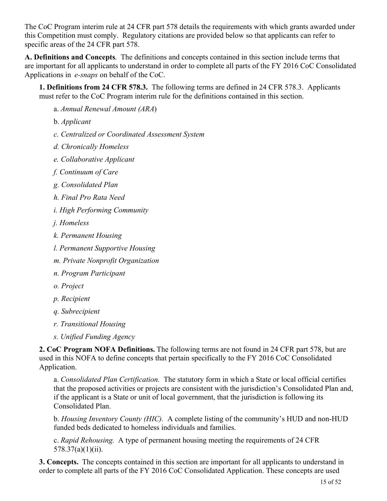The CoC Program interim rule at 24 CFR part 578 details the requirements with which grants awarded under this Competition must comply. Regulatory citations are provided below so that applicants can refer to specific areas of the 24 CFR part 578.

**A. Definitions and Concepts**. The definitions and concepts contained in this section include terms that are important for all applicants to understand in order to complete all parts of the FY 2016 CoC Consolidated Applications in *e-snaps* on behalf of the CoC.

**1. Definitions from 24 CFR 578.3.** The following terms are defined in 24 CFR 578.3. Applicants must refer to the CoC Program interim rule for the definitions contained in this section.

- a. *Annual Renewal Amount (ARA*)
- b. *Applicant*
- *c. Centralized or Coordinated Assessment System*
- *d. Chronically Homeless*
- *e. Collaborative Applicant*
- *f. Continuum of Care*
- *g. Consolidated Plan*
- *h. Final Pro Rata Need*
- *i. High Performing Community*
- *j. Homeless*
- *k. Permanent Housing*
- *l. Permanent Supportive Housing*
- *m. Private Nonprofit Organization*
- *n. Program Participant*
- *o. Project*
- *p. Recipient*
- *q. Subrecipient*
- *r. Transitional Housing*
- *s. Unified Funding Agency*

**2. CoC Program NOFA Definitions.** The following terms are not found in 24 CFR part 578, but are used in this NOFA to define concepts that pertain specifically to the FY 2016 CoC Consolidated Application.

a. *Consolidated Plan Certification.* The statutory form in which a State or local official certifies that the proposed activities or projects are consistent with the jurisdiction's Consolidated Plan and, if the applicant is a State or unit of local government, that the jurisdiction is following its Consolidated Plan.

b. *Housing Inventory County (HIC).* A complete listing of the community's HUD and non-HUD funded beds dedicated to homeless individuals and families.

c. *Rapid Rehousing.* A type of permanent housing meeting the requirements of 24 CFR 578.37(a)(1)(ii).

**3. Concepts.** The concepts contained in this section are important for all applicants to understand in order to complete all parts of the FY 2016 CoC Consolidated Application. These concepts are used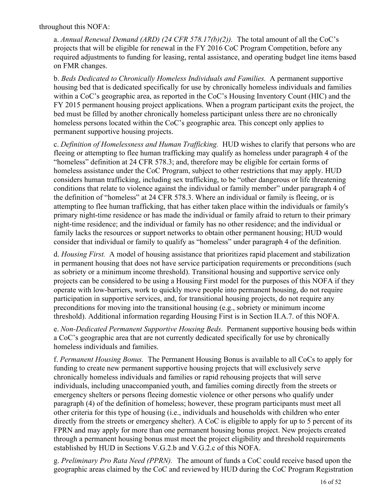throughout this NOFA:

a. *Annual Renewal Demand (ARD) (24 CFR 578.17(b)(2)).* The total amount of all the CoC's projects that will be eligible for renewal in the FY 2016 CoC Program Competition, before any required adjustments to funding for leasing, rental assistance, and operating budget line items based on FMR changes.

b. *Beds Dedicated to Chronically Homeless Individuals and Families.* A permanent supportive housing bed that is dedicated specifically for use by chronically homeless individuals and families within a CoC's geographic area, as reported in the CoC's Housing Inventory Count (HIC) and the FY 2015 permanent housing project applications. When a program participant exits the project, the bed must be filled by another chronically homeless participant unless there are no chronically homeless persons located within the CoC's geographic area. This concept only applies to permanent supportive housing projects.

c. *Definition of Homelessness and Human Trafficking.* HUD wishes to clarify that persons who are fleeing or attempting to flee human trafficking may qualify as homeless under paragraph 4 of the "homeless" definition at 24 CFR 578.3; and, therefore may be eligible for certain forms of homeless assistance under the CoC Program, subject to other restrictions that may apply. HUD considers human trafficking, including sex trafficking, to be "other dangerous or life threatening conditions that relate to violence against the individual or family member" under paragraph 4 of the definition of "homeless" at 24 CFR 578.3. Where an individual or family is fleeing, or is attempting to flee human trafficking, that has either taken place within the individuals or family's primary night-time residence or has made the individual or family afraid to return to their primary night-time residence; and the individual or family has no other residence; and the individual or family lacks the resources or support networks to obtain other permanent housing; HUD would consider that individual or family to qualify as "homeless" under paragraph 4 of the definition.

d. *Housing First.* A model of housing assistance that prioritizes rapid placement and stabilization in permanent housing that does not have service participation requirements or preconditions (such as sobriety or a minimum income threshold). Transitional housing and supportive service only projects can be considered to be using a Housing First model for the purposes of this NOFA if they operate with low-barriers, work to quickly move people into permanent housing, do not require participation in supportive services, and, for transitional housing projects, do not require any preconditions for moving into the transitional housing (e.g., sobriety or minimum income threshold). Additional information regarding Housing First is in Section II.A.7. of this NOFA.

e. *Non-Dedicated Permanent Supportive Housing Beds.* Permanent supportive housing beds within a CoC's geographic area that are not currently dedicated specifically for use by chronically homeless individuals and families.

f. *Permanent Housing Bonus.* The Permanent Housing Bonus is available to all CoCs to apply for funding to create new permanent supportive housing projects that will exclusively serve chronically homeless individuals and families or rapid rehousing projects that will serve individuals, including unaccompanied youth, and families coming directly from the streets or emergency shelters or persons fleeing domestic violence or other persons who qualify under paragraph (4) of the definition of homeless; however, these program participants must meet all other criteria for this type of housing (i.e., individuals and households with children who enter directly from the streets or emergency shelter). A CoC is eligible to apply for up to 5 percent of its FPRN and may apply for more than one permanent housing bonus project. New projects created through a permanent housing bonus must meet the project eligibility and threshold requirements established by HUD in Sections V.G.2.b and V.G.2.c of this NOFA.

g. *Preliminary Pro Rata Need (PPRN).* The amount of funds a CoC could receive based upon the geographic areas claimed by the CoC and reviewed by HUD during the CoC Program Registration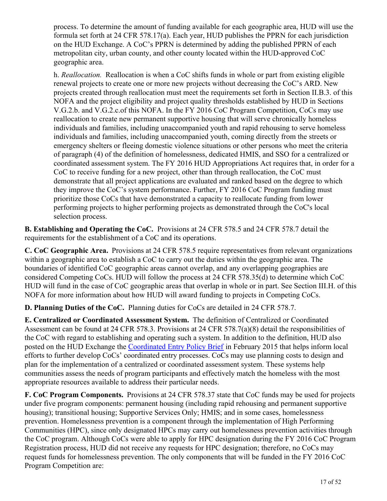process. To determine the amount of funding available for each geographic area, HUD will use the formula set forth at 24 CFR 578.17(a). Each year, HUD publishes the PPRN for each jurisdiction on the HUD Exchange. A CoC's PPRN is determined by adding the published PPRN of each metropolitan city, urban county, and other county located within the HUD-approved CoC geographic area.

h. *Reallocation.* Reallocation is when a CoC shifts funds in whole or part from existing eligible renewal projects to create one or more new projects without decreasing the CoC's ARD. New projects created through reallocation must meet the requirements set forth in Section II.B.3. of this NOFA and the project eligibility and project quality thresholds established by HUD in Sections V.G.2.b. and V.G.2.c.of this NOFA. In the FY 2016 CoC Program Competition, CoCs may use reallocation to create new permanent supportive housing that will serve chronically homeless individuals and families, including unaccompanied youth and rapid rehousing to serve homeless individuals and families, including unaccompanied youth, coming directly from the streets or emergency shelters or fleeing domestic violence situations or other persons who meet the criteria of paragraph (4) of the definition of homelessness, dedicated HMIS, and SSO for a centralized or coordinated assessment system. The FY 2016 HUD Appropriations Act requires that, in order for a CoC to receive funding for a new project, other than through reallocation, the CoC must demonstrate that all project applications are evaluated and ranked based on the degree to which they improve the CoC's system performance. Further, FY 2016 CoC Program funding must prioritize those CoCs that have demonstrated a capacity to reallocate funding from lower performing projects to higher performing projects as demonstrated through the CoC's local selection process.

**B. Establishing and Operating the CoC.** Provisions at 24 CFR 578.5 and 24 CFR 578.7 detail the requirements for the establishment of a CoC and its operations.

**C. CoC Geographic Area.**  Provisions at 24 CFR 578.5 require representatives from relevant organizations within a geographic area to establish a CoC to carry out the duties within the geographic area. The boundaries of identified CoC geographic areas cannot overlap, and any overlapping geographies are considered Competing CoCs. HUD will follow the process at 24 CFR 578.35(d) to determine which CoC HUD will fund in the case of CoC geographic areas that overlap in whole or in part. See Section III.H. of this NOFA for more information about how HUD will award funding to projects in Competing CoCs.

**D. Planning Duties of the CoC.** Planning duties for CoCs are detailed in 24 CFR 578.7.

**E. Centralized or Coordinated Assessment System.** The definition of Centralized or Coordinated Assessment can be found at 24 CFR 578.3. Provisions at 24 CFR 578.7(a)(8) detail the responsibilities of the CoC with regard to establishing and operating such a system. In addition to the definition, HUD also posted on the HUD Exchange the [Coordinated Entry Policy Brief](https://www.hudexchange.info/resources/documents/CoCProgramInterimRule.pdf) in February 2015 that helps inform local efforts to further develop CoCs' coordinated entry processes. CoCs may use planning costs to design and plan for the implementation of a centralized or coordinated assessment system. These systems help communities assess the needs of program participants and effectively match the homeless with the most appropriate resources available to address their particular needs.

**F. CoC Program Components.**  Provisions at 24 CFR 578.37 state that CoC funds may be used for projects under five program components: permanent housing (including rapid rehousing and permanent supportive housing); transitional housing; Supportive Services Only; HMIS; and in some cases, homelessness prevention. Homelessness prevention is a component through the implementation of High Performing Communities (HPC), since only designated HPCs may carry out homelessness prevention activities through the CoC program. Although CoCs were able to apply for HPC designation during the FY 2016 CoC Program Registration process, HUD did not receive any requests for HPC designation; therefore, no CoCs may request funds for homelessness prevention. The only components that will be funded in the FY 2016 CoC Program Competition are: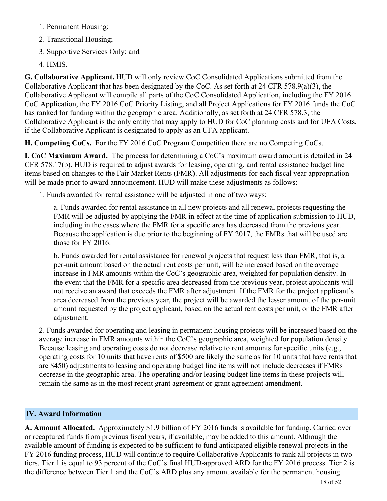- 1. Permanent Housing;
- 2. Transitional Housing;
- 3. Supportive Services Only; and
- 4. HMIS.

**G. Collaborative Applicant.** HUD will only review CoC Consolidated Applications submitted from the Collaborative Applicant that has been designated by the CoC. As set forth at 24 CFR 578.9(a)(3), the Collaborative Applicant will compile all parts of the CoC Consolidated Application, including the FY 2016 CoC Application, the FY 2016 CoC Priority Listing, and all Project Applications for FY 2016 funds the CoC has ranked for funding within the geographic area. Additionally, as set forth at 24 CFR 578.3, the Collaborative Applicant is the only entity that may apply to HUD for CoC planning costs and for UFA Costs, if the Collaborative Applicant is designated to apply as an UFA applicant.

**H. Competing CoCs.** For the FY 2016 CoC Program Competition there are no Competing CoCs.

**I. CoC Maximum Award.** The process for determining a CoC's maximum award amount is detailed in 24 CFR 578.17(b). HUD is required to adjust awards for leasing, operating, and rental assistance budget line items based on changes to the Fair Market Rents (FMR). All adjustments for each fiscal year appropriation will be made prior to award announcement. HUD will make these adjustments as follows:

1. Funds awarded for rental assistance will be adjusted in one of two ways:

a. Funds awarded for rental assistance in all new projects and all renewal projects requesting the FMR will be adjusted by applying the FMR in effect at the time of application submission to HUD, including in the cases where the FMR for a specific area has decreased from the previous year. Because the application is due prior to the beginning of FY 2017, the FMRs that will be used are those for FY 2016.

b. Funds awarded for rental assistance for renewal projects that request less than FMR, that is, a per-unit amount based on the actual rent costs per unit, will be increased based on the average increase in FMR amounts within the CoC's geographic area, weighted for population density. In the event that the FMR for a specific area decreased from the previous year, project applicants will not receive an award that exceeds the FMR after adjustment. If the FMR for the project applicant's area decreased from the previous year, the project will be awarded the lesser amount of the per-unit amount requested by the project applicant, based on the actual rent costs per unit, or the FMR after adjustment.

2. Funds awarded for operating and leasing in permanent housing projects will be increased based on the average increase in FMR amounts within the CoC's geographic area, weighted for population density. Because leasing and operating costs do not decrease relative to rent amounts for specific units (e.g., operating costs for 10 units that have rents of \$500 are likely the same as for 10 units that have rents that are \$450) adjustments to leasing and operating budget line items will not include decreases if FMRs decrease in the geographic area. The operating and/or leasing budget line items in these projects will remain the same as in the most recent grant agreement or grant agreement amendment.

#### <span id="page-19-0"></span>**IV. Award Information**

**A. Amount Allocated.** Approximately \$1.9 billion of FY 2016 funds is available for funding. Carried over or recaptured funds from previous fiscal years, if available, may be added to this amount. Although the available amount of funding is expected to be sufficient to fund anticipated eligible renewal projects in the FY 2016 funding process, HUD will continue to require Collaborative Applicants to rank all projects in two tiers. Tier 1 is equal to 93 percent of the CoC's final HUD-approved ARD for the FY 2016 process. Tier 2 is the difference between Tier 1 and the CoC's ARD plus any amount available for the permanent housing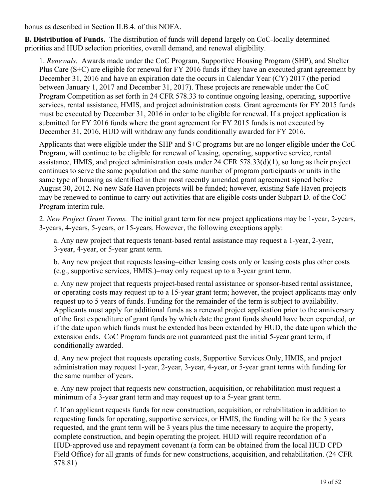bonus as described in Section II.B.4. of this NOFA.

**B. Distribution of Funds.** The distribution of funds will depend largely on CoC-locally determined priorities and HUD selection priorities, overall demand, and renewal eligibility.

1. *Renewals.* Awards made under the CoC Program, Supportive Housing Program (SHP), and Shelter Plus Care (S+C) are eligible for renewal for FY 2016 funds if they have an executed grant agreement by December 31, 2016 and have an expiration date the occurs in Calendar Year (CY) 2017 (the period between January 1, 2017 and December 31, 2017). These projects are renewable under the CoC Program Competition as set forth in 24 CFR 578.33 to continue ongoing leasing, operating, supportive services, rental assistance, HMIS, and project administration costs. Grant agreements for FY 2015 funds must be executed by December 31, 2016 in order to be eligible for renewal. If a project application is submitted for FY 2016 funds where the grant agreement for FY 2015 funds is not executed by December 31, 2016, HUD will withdraw any funds conditionally awarded for FY 2016.

Applicants that were eligible under the SHP and S+C programs but are no longer eligible under the CoC Program, will continue to be eligible for renewal of leasing, operating, supportive service, rental assistance, HMIS, and project administration costs under 24 CFR 578.33(d)(1), so long as their project continues to serve the same population and the same number of program participants or units in the same type of housing as identified in their most recently amended grant agreement signed before August 30, 2012. No new Safe Haven projects will be funded; however, existing Safe Haven projects may be renewed to continue to carry out activities that are eligible costs under Subpart D. of the CoC Program interim rule.

2. *New Project Grant Terms.* The initial grant term for new project applications may be 1-year, 2-years, 3-years, 4-years, 5-years, or 15-years. However, the following exceptions apply:

a. Any new project that requests tenant-based rental assistance may request a 1-year, 2-year, 3-year, 4-year, or 5-year grant term.

b. Any new project that requests leasing–either leasing costs only or leasing costs plus other costs (e.g., supportive services, HMIS.)–may only request up to a 3-year grant term.

c. Any new project that requests project-based rental assistance or sponsor-based rental assistance, or operating costs may request up to a 15-year grant term; however, the project applicants may only request up to 5 years of funds. Funding for the remainder of the term is subject to availability. Applicants must apply for additional funds as a renewal project application prior to the anniversary of the first expenditure of grant funds by which date the grant funds should have been expended, or if the date upon which funds must be extended has been extended by HUD, the date upon which the extension ends. CoC Program funds are not guaranteed past the initial 5-year grant term, if conditionally awarded.

d. Any new project that requests operating costs, Supportive Services Only, HMIS, and project administration may request 1-year, 2-year, 3-year, 4-year, or 5-year grant terms with funding for the same number of years.

e. Any new project that requests new construction, acquisition, or rehabilitation must request a minimum of a 3-year grant term and may request up to a 5-year grant term.

f. If an applicant requests funds for new construction, acquisition, or rehabilitation in addition to requesting funds for operating, supportive services, or HMIS, the funding will be for the 3 years requested, and the grant term will be 3 years plus the time necessary to acquire the property, complete construction, and begin operating the project. HUD will require recordation of a HUD-approved use and repayment covenant (a form can be obtained from the local HUD CPD Field Office) for all grants of funds for new constructions, acquisition, and rehabilitation. (24 CFR 578.81)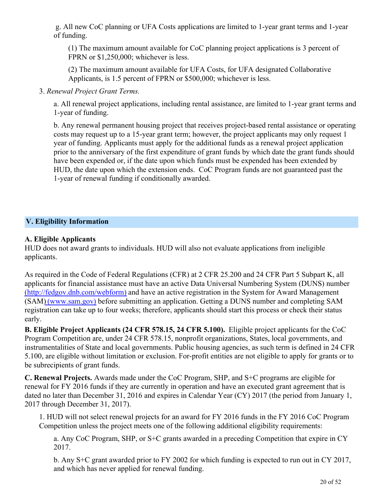g. All new CoC planning or UFA Costs applications are limited to 1-year grant terms and 1-year of funding.

(1) The maximum amount available for CoC planning project applications is 3 percent of FPRN or \$1,250,000; whichever is less.

(2) The maximum amount available for UFA Costs, for UFA designated Collaborative Applicants, is 1.5 percent of FPRN or \$500,000; whichever is less.

#### 3. *Renewal Project Grant Terms.*

a. All renewal project applications, including rental assistance, are limited to 1-year grant terms and 1-year of funding.

b. Any renewal permanent housing project that receives project-based rental assistance or operating costs may request up to a 15-year grant term; however, the project applicants may only request 1 year of funding. Applicants must apply for the additional funds as a renewal project application prior to the anniversary of the first expenditure of grant funds by which date the grant funds should have been expended or, if the date upon which funds must be expended has been extended by HUD, the date upon which the extension ends. CoC Program funds are not guaranteed past the 1-year of renewal funding if conditionally awarded.

## <span id="page-21-0"></span>**V. Eligibility Information**

#### **A. Eligible Applicants**

HUD does not award grants to individuals. HUD will also not evaluate applications from ineligible applicants.

As required in the Code of Federal Regulations (CFR) at 2 CFR 25.200 and 24 CFR Part 5 Subpart K, all applicants for financial assistance must have an active Data Universal Numbering System (DUNS) number ([http://fedgov.dnb.com/webform\)](http://fedgov.dnb.com/webform)) and have an active registration in the System for Award Management (SAM) ([www.sam.gov](http://www.sam.gov)) before submitting an application. Getting a DUNS number and completing SAM registration can take up to four weeks; therefore, applicants should start this process or check their status early.

**B. Eligible Project Applicants (24 CFR 578.15, 24 CFR 5.100).** Eligible project applicants for the CoC Program Competition are, under 24 CFR 578.15, nonprofit organizations, States, local governments, and instrumentalities of State and local governments. Public housing agencies, as such term is defined in 24 CFR 5.100, are eligible without limitation or exclusion. For-profit entities are not eligible to apply for grants or to be subrecipients of grant funds.

**C. Renewal Projects.** Awards made under the CoC Program, SHP, and S+C programs are eligible for renewal for FY 2016 funds if they are currently in operation and have an executed grant agreement that is dated no later than December 31, 2016 and expires in Calendar Year (CY) 2017 (the period from January 1, 2017 through December 31, 2017).

1. HUD will not select renewal projects for an award for FY 2016 funds in the FY 2016 CoC Program Competition unless the project meets one of the following additional eligibility requirements:

a. Any CoC Program, SHP, or S+C grants awarded in a preceding Competition that expire in CY 2017.

b. Any S+C grant awarded prior to FY 2002 for which funding is expected to run out in CY 2017, and which has never applied for renewal funding.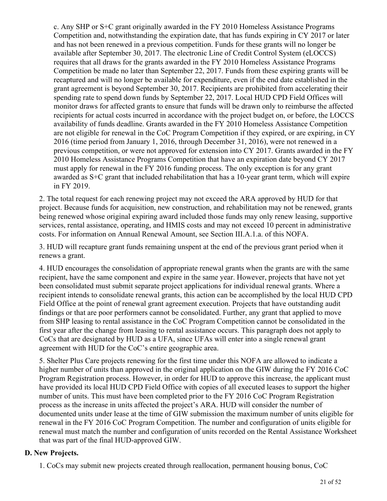c. Any SHP or S+C grant originally awarded in the FY 2010 Homeless Assistance Programs Competition and, notwithstanding the expiration date, that has funds expiring in CY 2017 or later and has not been renewed in a previous competition. Funds for these grants will no longer be available after September 30, 2017. The electronic Line of Credit Control System (eLOCCS) requires that all draws for the grants awarded in the FY 2010 Homeless Assistance Programs Competition be made no later than September 22, 2017. Funds from these expiring grants will be recaptured and will no longer be available for expenditure, even if the end date established in the grant agreement is beyond September 30, 2017. Recipients are prohibited from accelerating their spending rate to spend down funds by September 22, 2017. Local HUD CPD Field Offices will monitor draws for affected grants to ensure that funds will be drawn only to reimburse the affected recipients for actual costs incurred in accordance with the project budget on, or before, the LOCCS availability of funds deadline. Grants awarded in the FY 2010 Homeless Assistance Competition are not eligible for renewal in the CoC Program Competition if they expired, or are expiring, in CY 2016 (time period from January 1, 2016, through December 31, 2016), were not renewed in a previous competition, or were not approved for extension into CY 2017. Grants awarded in the FY 2010 Homeless Assistance Programs Competition that have an expiration date beyond CY 2017 must apply for renewal in the FY 2016 funding process. The only exception is for any grant awarded as S+C grant that included rehabilitation that has a 10-year grant term, which will expire in FY 2019.

2. The total request for each renewing project may not exceed the ARA approved by HUD for that project. Because funds for acquisition, new construction, and rehabilitation may not be renewed, grants being renewed whose original expiring award included those funds may only renew leasing, supportive services, rental assistance, operating, and HMIS costs and may not exceed 10 percent in administrative costs. For information on Annual Renewal Amount, see Section III.A.1.a. of this NOFA.

3. HUD will recapture grant funds remaining unspent at the end of the previous grant period when it renews a grant.

4. HUD encourages the consolidation of appropriate renewal grants when the grants are with the same recipient, have the same component and expire in the same year. However, projects that have not yet been consolidated must submit separate project applications for individual renewal grants. Where a recipient intends to consolidate renewal grants, this action can be accomplished by the local HUD CPD Field Office at the point of renewal grant agreement execution. Projects that have outstanding audit findings or that are poor performers cannot be consolidated. Further, any grant that applied to move from SHP leasing to rental assistance in the CoC Program Competition cannot be consolidated in the first year after the change from leasing to rental assistance occurs. This paragraph does not apply to CoCs that are designated by HUD as a UFA, since UFAs will enter into a single renewal grant agreement with HUD for the CoC's entire geographic area.

5. Shelter Plus Care projects renewing for the first time under this NOFA are allowed to indicate a higher number of units than approved in the original application on the GIW during the FY 2016 CoC Program Registration process. However, in order for HUD to approve this increase, the applicant must have provided its local HUD CPD Field Office with copies of all executed leases to support the higher number of units. This must have been completed prior to the FY 2016 CoC Program Registration process as the increase in units affected the project's ARA. HUD will consider the number of documented units under lease at the time of GIW submission the maximum number of units eligible for renewal in the FY 2016 CoC Program Competition. The number and configuration of units eligible for renewal must match the number and configuration of units recorded on the Rental Assistance Worksheet that was part of the final HUD-approved GIW.

#### **D. New Projects.**

1. CoCs may submit new projects created through reallocation, permanent housing bonus, CoC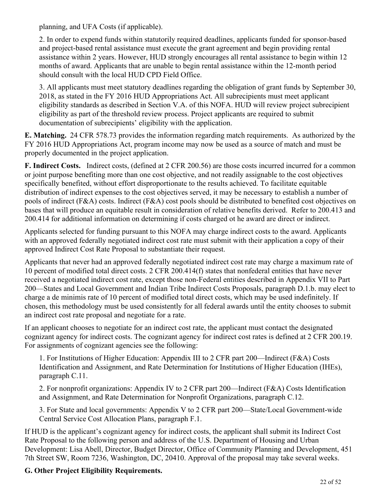planning, and UFA Costs (if applicable).

2. In order to expend funds within statutorily required deadlines, applicants funded for sponsor-based and project-based rental assistance must execute the grant agreement and begin providing rental assistance within 2 years. However, HUD strongly encourages all rental assistance to begin within 12 months of award. Applicants that are unable to begin rental assistance within the 12-month period should consult with the local HUD CPD Field Office.

3. All applicants must meet statutory deadlines regarding the obligation of grant funds by September 30, 2018, as stated in the FY 2016 HUD Appropriations Act. All subrecipients must meet applicant eligibility standards as described in Section V.A. of this NOFA. HUD will review project subrecipient eligibility as part of the threshold review process. Project applicants are required to submit documentation of subrecipients' eligibility with the application.

**E. Matching.**  24 CFR 578.73 provides the information regarding match requirements. As authorized by the FY 2016 HUD Appropriations Act, program income may now be used as a source of match and must be properly documented in the project application.

**F. Indirect Costs.** Indirect costs, (defined at 2 CFR 200.56) are those costs incurred incurred for a common or joint purpose benefiting more than one cost objective, and not readily assignable to the cost objectives specifically benefited, without effort disproportionate to the results achieved. To facilitate equitable distribution of indirect expenses to the cost objectives served, it may be necessary to establish a number of pools of indirect (F&A) costs. Indirect (F&A) cost pools should be distributed to benefited cost objectives on bases that will produce an equitable result in consideration of relative benefits derived. Refer to 200.413 and 200.414 for additional information on determining if costs charged ot he award are direct or indirect.

Applicants selected for funding pursuant to this NOFA may charge indirect costs to the award. Applicants with an approved federally negotiated indirect cost rate must submit with their application a copy of their approved Indirect Cost Rate Proposal to substantiate their request.

Applicants that never had an approved federally negotiated indirect cost rate may charge a maximum rate of 10 percent of modified total direct costs. 2 CFR 200.414(f) states that nonfederal entities that have never received a negotiated indirect cost rate, except those non-Federal entities described in Appendix VII to Part 200—States and Local Government and Indian Tribe Indirect Costs Proposals, paragraph D.1.b. may elect to charge a de minimis rate of 10 percent of modified total direct costs, which may be used indefinitely. If chosen, this methodology must be used consistently for all federal awards until the entity chooses to submit an indirect cost rate proposal and negotiate for a rate.

If an applicant chooses to negotiate for an indirect cost rate, the applicant must contact the designated cognizant agency for indirect costs. The cognizant agency for indirect cost rates is defined at 2 CFR 200.19. For assignments of cognizant agencies see the following:

1. For Institutions of Higher Education: Appendix III to 2 CFR part 200—Indirect (F&A) Costs Identification and Assignment, and Rate Determination for Institutions of Higher Education (IHEs), paragraph C.11.

2. For nonprofit organizations: Appendix IV to 2 CFR part 200—Indirect (F&A) Costs Identification and Assignment, and Rate Determination for Nonprofit Organizations, paragraph C.12.

3. For State and local governments: Appendix V to 2 CFR part 200—State/Local Government-wide Central Service Cost Allocation Plans, paragraph F.1.

If HUD is the applicant's cognizant agency for indirect costs, the applicant shall submit its Indirect Cost Rate Proposal to the following person and address of the U.S. Department of Housing and Urban Development: Lisa Abell, Director, Budget Director, Office of Community Planning and Development, 451 7th Street SW, Room 7236, Washington, DC, 20410. Approval of the proposal may take several weeks.

# **G. Other Project Eligibility Requirements.**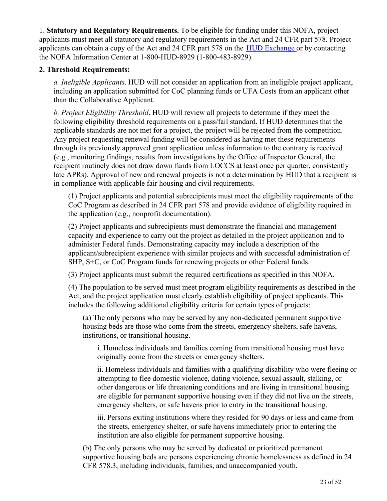1. **Statutory and Regulatory Requirements.** To be eligible for funding under this NOFA, project applicants must meet all statutory and regulatory requirements in the Act and 24 CFR part 578. Project applicants can obtain a copy of the Act and 24 CFR part 578 on the [HUD Exchange](https://www.hudexchange.info/coc/coc-program-law-regulations-and-notices/) or by contacting the NOFA Information Center at 1-800-HUD-8929 (1-800-483-8929).

#### **2. Threshold Requirements:**

*a. Ineligible Applicants*. HUD will not consider an application from an ineligible project applicant, including an application submitted for CoC planning funds or UFA Costs from an applicant other than the Collaborative Applicant.

*b. Project Eligibility Threshold*. HUD will review all projects to determine if they meet the following eligibility threshold requirements on a pass/fail standard. If HUD determines that the applicable standards are not met for a project, the project will be rejected from the competition. Any project requesting renewal funding will be considered as having met these requirements through its previously approved grant application unless information to the contrary is received (e.g., monitoring findings, results from investigations by the Office of Inspector General, the recipient routinely does not draw down funds from LOCCS at least once per quarter, consistently late APRs). Approval of new and renewal projects is not a determination by HUD that a recipient is in compliance with applicable fair housing and civil requirements.

(1) Project applicants and potential subrecipients must meet the eligibility requirements of the CoC Program as described in 24 CFR part 578 and provide evidence of eligibility required in the application (e.g., nonprofit documentation).

(2) Project applicants and subrecipients must demonstrate the financial and management capacity and experience to carry out the project as detailed in the project application and to administer Federal funds. Demonstrating capacity may include a description of the applicant/subrecipient experience with similar projects and with successful administration of SHP, S+C, or CoC Program funds for renewing projects or other Federal funds.

(3) Project applicants must submit the required certifications as specified in this NOFA.

(4) The population to be served must meet program eligibility requirements as described in the Act, and the project application must clearly establish eligibility of project applicants. This includes the following additional eligibility criteria for certain types of projects:

(a) The only persons who may be served by any non-dedicated permanent supportive housing beds are those who come from the streets, emergency shelters, safe havens, institutions, or transitional housing.

i. Homeless individuals and families coming from transitional housing must have originally come from the streets or emergency shelters.

ii. Homeless individuals and families with a qualifying disability who were fleeing or attempting to flee domestic violence, dating violence, sexual assault, stalking, or other dangerous or life threatening conditions and are living in transitional housing are eligible for permanent supportive housing even if they did not live on the streets, emergency shelters, or safe havens prior to entry in the transitional housing.

iii. Persons exiting institutions where they resided for 90 days or less and came from the streets, emergency shelter, or safe havens immediately prior to entering the institution are also eligible for permanent supportive housing.

(b) The only persons who may be served by dedicated or prioritized permanent supportive housing beds are persons experiencing chronic homelessness as defined in 24 CFR 578.3, including individuals, families, and unaccompanied youth.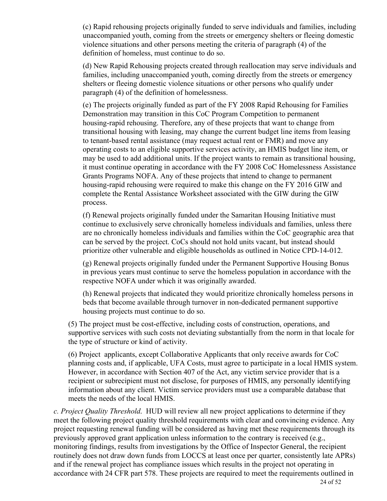(c) Rapid rehousing projects originally funded to serve individuals and families, including unaccompanied youth, coming from the streets or emergency shelters or fleeing domestic violence situations and other persons meeting the criteria of paragraph (4) of the definition of homeless, must continue to do so.

(d) New Rapid Rehousing projects created through reallocation may serve individuals and families, including unaccompanied youth, coming directly from the streets or emergency shelters or fleeing domestic violence situations or other persons who qualify under paragraph (4) of the definition of homelessness.

(e) The projects originally funded as part of the FY 2008 Rapid Rehousing for Families Demonstration may transition in this CoC Program Competition to permanent housing-rapid rehousing. Therefore, any of these projects that want to change from transitional housing with leasing, may change the current budget line items from leasing to tenant-based rental assistance (may request actual rent or FMR) and move any operating costs to an eligible supportive services activity, an HMIS budget line item, or may be used to add additional units. If the project wants to remain as transitional housing, it must continue operating in accordance with the FY 2008 CoC Homelessness Assistance Grants Programs NOFA. Any of these projects that intend to change to permanent housing-rapid rehousing were required to make this change on the FY 2016 GIW and complete the Rental Assistance Worksheet associated with the GIW during the GIW process.

(f) Renewal projects originally funded under the Samaritan Housing Initiative must continue to exclusively serve chronically homeless individuals and families, unless there are no chronically homeless individuals and families within the CoC geographic area that can be served by the project. CoCs should not hold units vacant, but instead should prioritize other vulnerable and eligible households as outlined in Notice CPD-14-012.

(g) Renewal projects originally funded under the Permanent Supportive Housing Bonus in previous years must continue to serve the homeless population in accordance with the respective NOFA under which it was originally awarded.

(h) Renewal projects that indicated they would prioritize chronically homeless persons in beds that become available through turnover in non-dedicated permanent supportive housing projects must continue to do so.

(5) The project must be cost-effective, including costs of construction, operations, and supportive services with such costs not deviating substantially from the norm in that locale for the type of structure or kind of activity.

(6) Project applicants, except Collaborative Applicants that only receive awards for CoC planning costs and, if applicable, UFA Costs, must agree to participate in a local HMIS system. However, in accordance with Section 407 of the Act, any victim service provider that is a recipient or subrecipient must not disclose, for purposes of HMIS, any personally identifying information about any client. Victim service providers must use a comparable database that meets the needs of the local HMIS.

*c. Project Quality Threshold*. HUD will review all new project applications to determine if they meet the following project quality threshold requirements with clear and convincing evidence. Any project requesting renewal funding will be considered as having met these requirements through its previously approved grant application unless information to the contrary is received (e.g., monitoring findings, results from investigations by the Office of Inspector General, the recipient routinely does not draw down funds from LOCCS at least once per quarter, consistently late APRs) and if the renewal project has compliance issues which results in the project not operating in accordance with 24 CFR part 578. These projects are required to meet the requirements outlined in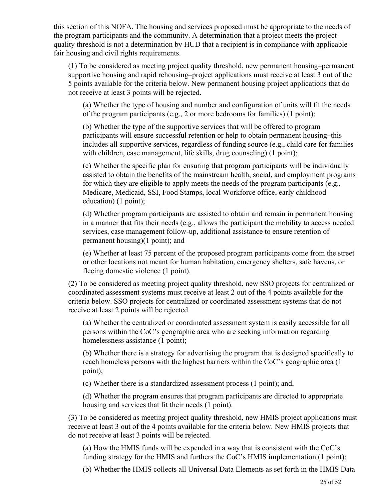this section of this NOFA. The housing and services proposed must be appropriate to the needs of the program participants and the community. A determination that a project meets the project quality threshold is not a determination by HUD that a recipient is in compliance with applicable fair housing and civil rights requirements.

(1) To be considered as meeting project quality threshold, new permanent housing–permanent supportive housing and rapid rehousing–project applications must receive at least 3 out of the 5 points available for the criteria below. New permanent housing project applications that do not receive at least 3 points will be rejected.

(a) Whether the type of housing and number and configuration of units will fit the needs of the program participants (e.g., 2 or more bedrooms for families) (1 point);

(b) Whether the type of the supportive services that will be offered to program participants will ensure successful retention or help to obtain permanent housing–this includes all supportive services, regardless of funding source (e.g., child care for families with children, case management, life skills, drug counseling) (1 point);

(c) Whether the specific plan for ensuring that program participants will be individually assisted to obtain the benefits of the mainstream health, social, and employment programs for which they are eligible to apply meets the needs of the program participants (e.g., Medicare, Medicaid, SSI, Food Stamps, local Workforce office, early childhood education) (1 point);

(d) Whether program participants are assisted to obtain and remain in permanent housing in a manner that fits their needs (e.g., allows the participant the mobility to access needed services, case management follow-up, additional assistance to ensure retention of permanent housing)(1 point); and

(e) Whether at least 75 percent of the proposed program participants come from the street or other locations not meant for human habitation, emergency shelters, safe havens, or fleeing domestic violence (1 point).

(2) To be considered as meeting project quality threshold, new SSO projects for centralized or coordinated assessment systems must receive at least 2 out of the 4 points available for the criteria below. SSO projects for centralized or coordinated assessment systems that do not receive at least 2 points will be rejected.

(a) Whether the centralized or coordinated assessment system is easily accessible for all persons within the CoC's geographic area who are seeking information regarding homelessness assistance (1 point);

(b) Whether there is a strategy for advertising the program that is designed specifically to reach homeless persons with the highest barriers within the CoC's geographic area (1 point);

(c) Whether there is a standardized assessment process (1 point); and,

(d) Whether the program ensures that program participants are directed to appropriate housing and services that fit their needs (1 point).

(3) To be considered as meeting project quality threshold, new HMIS project applications must receive at least 3 out of the 4 points available for the criteria below. New HMIS projects that do not receive at least 3 points will be rejected.

(a) How the HMIS funds will be expended in a way that is consistent with the CoC's funding strategy for the HMIS and furthers the CoC's HMIS implementation (1 point);

(b) Whether the HMIS collects all Universal Data Elements as set forth in the HMIS Data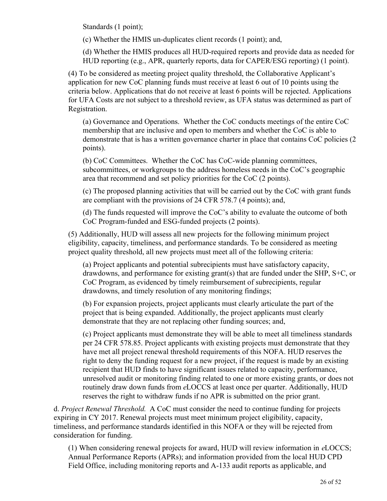Standards (1 point);

(c) Whether the HMIS un-duplicates client records (1 point); and,

(d) Whether the HMIS produces all HUD-required reports and provide data as needed for HUD reporting (e.g., APR, quarterly reports, data for CAPER/ESG reporting) (1 point).

(4) To be considered as meeting project quality threshold, the Collaborative Applicant's application for new CoC planning funds must receive at least 6 out of 10 points using the criteria below. Applications that do not receive at least 6 points will be rejected. Applications for UFA Costs are not subject to a threshold review, as UFA status was determined as part of Registration.

(a) Governance and Operations. Whether the CoC conducts meetings of the entire CoC membership that are inclusive and open to members and whether the CoC is able to demonstrate that is has a written governance charter in place that contains CoC policies (2 points).

(b) CoC Committees. Whether the CoC has CoC-wide planning committees, subcommittees, or workgroups to the address homeless needs in the CoC's geographic area that recommend and set policy priorities for the CoC (2 points).

(c) The proposed planning activities that will be carried out by the CoC with grant funds are compliant with the provisions of 24 CFR 578.7 (4 points); and,

(d) The funds requested will improve the CoC's ability to evaluate the outcome of both CoC Program-funded and ESG-funded projects (2 points).

(5) Additionally, HUD will assess all new projects for the following minimum project eligibility, capacity, timeliness, and performance standards. To be considered as meeting project quality threshold, all new projects must meet all of the following criteria:

(a) Project applicants and potential subrecipients must have satisfactory capacity, drawdowns, and performance for existing grant(s) that are funded under the SHP,  $S+C$ , or CoC Program, as evidenced by timely reimbursement of subrecipients, regular drawdowns, and timely resolution of any monitoring findings;

(b) For expansion projects, project applicants must clearly articulate the part of the project that is being expanded. Additionally, the project applicants must clearly demonstrate that they are not replacing other funding sources; and,

(c) Project applicants must demonstrate they will be able to meet all timeliness standards per 24 CFR 578.85. Project applicants with existing projects must demonstrate that they have met all project renewal threshold requirements of this NOFA. HUD reserves the right to deny the funding request for a new project, if the request is made by an existing recipient that HUD finds to have significant issues related to capacity, performance, unresolved audit or monitoring finding related to one or more existing grants, or does not routinely draw down funds from *e*LOCCS at least once per quarter. Additionally, HUD reserves the right to withdraw funds if no APR is submitted on the prior grant.

d. *Project Renewal Threshold.* A CoC must consider the need to continue funding for projects expiring in CY 2017. Renewal projects must meet minimum project eligibility, capacity, timeliness, and performance standards identified in this NOFA or they will be rejected from consideration for funding.

(1) When considering renewal projects for award, HUD will review information in *e*LOCCS; Annual Performance Reports (APRs); and information provided from the local HUD CPD Field Office, including monitoring reports and A-133 audit reports as applicable, and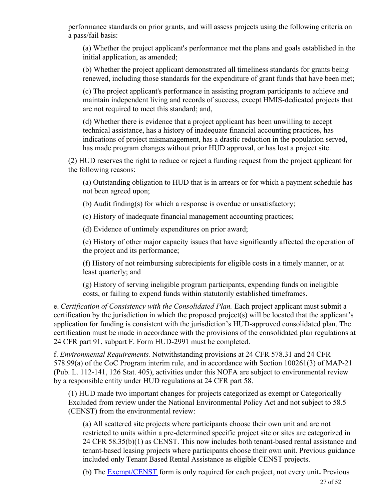performance standards on prior grants, and will assess projects using the following criteria on a pass/fail basis:

(a) Whether the project applicant's performance met the plans and goals established in the initial application, as amended;

(b) Whether the project applicant demonstrated all timeliness standards for grants being renewed, including those standards for the expenditure of grant funds that have been met;

(c) The project applicant's performance in assisting program participants to achieve and maintain independent living and records of success, except HMIS-dedicated projects that are not required to meet this standard; and,

(d) Whether there is evidence that a project applicant has been unwilling to accept technical assistance, has a history of inadequate financial accounting practices, has indications of project mismanagement, has a drastic reduction in the population served, has made program changes without prior HUD approval, or has lost a project site.

(2) HUD reserves the right to reduce or reject a funding request from the project applicant for the following reasons:

(a) Outstanding obligation to HUD that is in arrears or for which a payment schedule has not been agreed upon;

(b) Audit finding(s) for which a response is overdue or unsatisfactory;

(c) History of inadequate financial management accounting practices;

(d) Evidence of untimely expenditures on prior award;

(e) History of other major capacity issues that have significantly affected the operation of the project and its performance;

(f) History of not reimbursing subrecipients for eligible costs in a timely manner, or at least quarterly; and

(g) History of serving ineligible program participants, expending funds on ineligible costs, or failing to expend funds within statutorily established timeframes.

e. *Certification of Consistency with the Consolidated Plan.* Each project applicant must submit a certification by the jurisdiction in which the proposed project(s) will be located that the applicant's application for funding is consistent with the jurisdiction's HUD-approved consolidated plan. The certification must be made in accordance with the provisions of the consolidated plan regulations at 24 CFR part 91, subpart F. Form HUD-2991 must be completed.

f. *Environmental Requirements.* Notwithstanding provisions at 24 CFR 578.31 and 24 CFR 578.99(a) of the CoC Program interim rule, and in accordance with Section 100261(3) of MAP-21 (Pub. L. 112-141, 126 Stat. 405), activities under this NOFA are subject to environmental review by a responsible entity under HUD regulations at 24 CFR part 58.

(1) HUD made two important changes for projects categorized as exempt or Categorically Excluded from review under the National Environmental Policy Act and not subject to 58.5 (CENST) from the environmental review:

(a) All scattered site projects where participants choose their own unit and are not restricted to units within a pre-determined specific project site or sites are categorized in 24 CFR 58.35(b)(1) as CENST. This now includes both tenant-based rental assistance and tenant-based leasing projects where participants choose their own unit. Previous guidance included only Tenant Based Rental Assistance as eligible CENST projects.

(b) The [Exempt/CENST](https://www.hudexchange.info/resource/3141/part-58-environmental-review-exempt-or-censt-format/) form is only required for each project, not every unit**.** Previous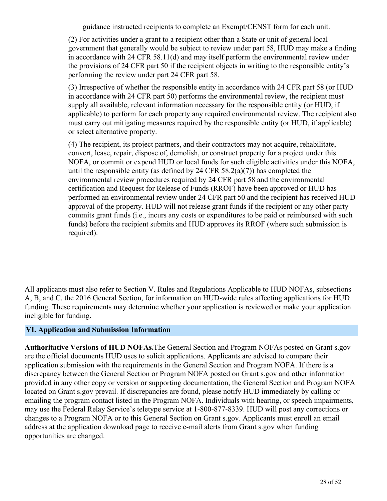guidance instructed recipients to complete an Exempt/CENST form for each unit.

(2) For activities under a grant to a recipient other than a State or unit of general local government that generally would be subject to review under part 58, HUD may make a finding in accordance with 24 CFR 58.11(d) and may itself perform the environmental review under the provisions of 24 CFR part 50 if the recipient objects in writing to the responsible entity's performing the review under part 24 CFR part 58.

(3) Irrespective of whether the responsible entity in accordance with 24 CFR part 58 (or HUD in accordance with 24 CFR part 50) performs the environmental review, the recipient must supply all available, relevant information necessary for the responsible entity (or HUD, if applicable) to perform for each property any required environmental review. The recipient also must carry out mitigating measures required by the responsible entity (or HUD, if applicable) or select alternative property.

(4) The recipient, its project partners, and their contractors may not acquire, rehabilitate, convert, lease, repair, dispose of, demolish, or construct property for a project under this NOFA, or commit or expend HUD or local funds for such eligible activities under this NOFA, until the responsible entity (as defined by 24 CFR 58.2(a)(7)) has completed the environmental review procedures required by 24 CFR part 58 and the environmental certification and Request for Release of Funds (RROF) have been approved or HUD has performed an environmental review under 24 CFR part 50 and the recipient has received HUD approval of the property. HUD will not release grant funds if the recipient or any other party commits grant funds (i.e., incurs any costs or expenditures to be paid or reimbursed with such funds) before the recipient submits and HUD approves its RROF (where such submission is required).

All applicants must also refer to Section V. Rules and Regulations Applicable to HUD NOFAs, subsections A, B, and C. the 2016 General Section, for information on HUD-wide rules affecting applications for HUD funding. These requirements may determine whether your application is reviewed or make your application ineligible for funding.

#### <span id="page-29-0"></span>**VI. Application and Submission Information**

**Authoritative Versions of HUD NOFAs.**The General Section and Program NOFAs posted on Grant s.gov are the official documents HUD uses to solicit applications. Applicants are advised to compare their application submission with the requirements in the General Section and Program NOFA. If there is a discrepancy between the General Section or Program NOFA posted on Grant s.gov and other information provided in any other copy or version or supporting documentation, the General Section and Program NOFA located on Grant s.gov prevail. If discrepancies are found, please notify HUD immediately by calling or emailing the program contact listed in the Program NOFA. Individuals with hearing, or speech impairments, may use the Federal Relay Service's teletype service at 1-800-877-8339. HUD will post any corrections or changes to a Program NOFA or to this General Section on Grant s.gov. Applicants must enroll an email address at the application download page to receive e-mail alerts from Grant s.gov when funding opportunities are changed.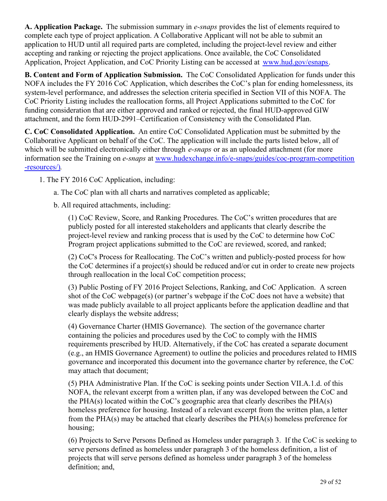**A. Application Package.** The submission summary in *e-snaps* provides the list of elements required to complete each type of project application. A Collaborative Applicant will not be able to submit an application to HUD until all required parts are completed, including the project-level review and either accepting and ranking or rejecting the project applications. Once available, the CoC Consolidated Application, Project Application, and CoC Priority Listing can be accessed at [www.hud.gov/esnaps](http://www.hud.gov/esnaps).

**B. Content and Form of Application Submission.**  The CoC Consolidated Application for funds under this NOFA includes the FY 2016 CoC Application, which describes the CoC's plan for ending homelessness, its system-level performance, and addresses the selection criteria specified in Section VII of this NOFA. The CoC Priority Listing includes the reallocation forms, all Project Applications submitted to the CoC for funding consideration that are either approved and ranked or rejected, the final HUD-approved GIW attachment, and the form HUD-2991–Certification of Consistency with the Consolidated Plan.

**C. CoC Consolidated Application.** An entire CoC Consolidated Application must be submitted by the Collaborative Applicant on behalf of the CoC. The application will include the parts listed below, all of which will be submitted electronically either through *e-snaps* or as an uploaded attachment (for more information see the Training on *e-snaps* at [www.hudexchange.info/e-snaps/guides/coc-program-competition](http://www.hudexchange.info/e-snaps/guides/coc-program-competition-resources/)) [-resources/\)](http://www.hudexchange.info/e-snaps/guides/coc-program-competition-resources/)).

1. The FY 2016 CoC Application, including:

a. The CoC plan with all charts and narratives completed as applicable;

b. All required attachments, including:

(1) CoC Review, Score, and Ranking Procedures. The CoC's written procedures that are publicly posted for all interested stakeholders and applicants that clearly describe the project-level review and ranking process that is used by the CoC to determine how CoC Program project applications submitted to the CoC are reviewed, scored, and ranked;

(2) CoC's Process for Reallocating. The CoC's written and publicly-posted process for how the CoC determines if a project(s) should be reduced and/or cut in order to create new projects through reallocation in the local CoC competition process;

(3) Public Posting of FY 2016 Project Selections, Ranking, and CoC Application. A screen shot of the CoC webpage(s) (or partner's webpage if the CoC does not have a website) that was made publicly available to all project applicants before the application deadline and that clearly displays the website address;

(4) Governance Charter (HMIS Governance). The section of the governance charter containing the policies and procedures used by the CoC to comply with the HMIS requirements prescribed by HUD. Alternatively, if the CoC has created a separate document (e.g., an HMIS Governance Agreement) to outline the policies and procedures related to HMIS governance and incorporated this document into the governance charter by reference, the CoC may attach that document;

(5) PHA Administrative Plan. If the CoC is seeking points under Section VII.A.1.d. of this NOFA, the relevant excerpt from a written plan, if any was developed between the CoC and the PHA(s) located within the CoC's geographic area that clearly describes the PHA(s) homeless preference for housing. Instead of a relevant excerpt from the written plan, a letter from the PHA(s) may be attached that clearly describes the PHA(s) homeless preference for housing;

(6) Projects to Serve Persons Defined as Homeless under paragraph 3. If the CoC is seeking to serve persons defined as homeless under paragraph 3 of the homeless definition, a list of projects that will serve persons defined as homeless under paragraph 3 of the homeless definition; and,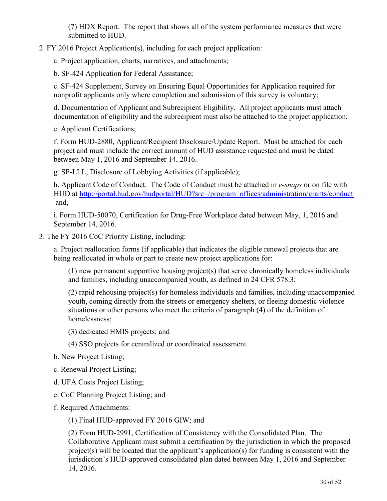(7) HDX Report. The report that shows all of the system performance measures that were submitted to HUD.

2. FY 2016 Project Application(s), including for each project application:

a. Project application, charts, narratives, and attachments;

b. SF-424 Application for Federal Assistance;

c. SF-424 Supplement, Survey on Ensuring Equal Opportunities for Application required for nonprofit applicants only where completion and submission of this survey is voluntary;

d. Documentation of Applicant and Subrecipient Eligibility. All project applicants must attach documentation of eligibility and the subrecipient must also be attached to the project application;

e. Applicant Certifications;

f. Form HUD-2880, Applicant/Recipient Disclosure/Update Report. Must be attached for each project and must include the correct amount of HUD assistance requested and must be dated between May 1, 2016 and September 14, 2016.

g. SF-LLL, Disclosure of Lobbying Activities (if applicable);

h. Applicant Code of Conduct. The Code of Conduct must be attached in *e-snaps* or on file with HUD at [http://portal.hud.gov/hudportal/HUD?src=/program\\_offices/administration/grants/conduct](http://portal.hud.gov/hudportal/HUD?src=/program_offices/administration/grants/conduct) and,

i. Form HUD-50070, Certification for Drug-Free Workplace dated between May, 1, 2016 and September 14, 2016.

3. The FY 2016 CoC Priority Listing, including:

a. Project reallocation forms (if applicable) that indicates the eligible renewal projects that are being reallocated in whole or part to create new project applications for:

(1) new permanent supportive housing project(s) that serve chronically homeless individuals and families, including unaccompanied youth, as defined in 24 CFR 578.3;

(2) rapid rehousing project(s) for homeless individuals and families, including unaccompanied youth, coming directly from the streets or emergency shelters, or fleeing domestic violence situations or other persons who meet the criteria of paragraph (4) of the definition of homelessness;

- (3) dedicated HMIS projects; and
- (4) SSO projects for centralized or coordinated assessment.
- b. New Project Listing;
- c. Renewal Project Listing;
- d. UFA Costs Project Listing;
- e. CoC Planning Project Listing; and
- f. Required Attachments:
	- (1) Final HUD-approved FY 2016 GIW; and

(2) Form HUD-2991, Certification of Consistency with the Consolidated Plan. The Collaborative Applicant must submit a certification by the jurisdiction in which the proposed project(s) will be located that the applicant's application(s) for funding is consistent with the jurisdiction's HUD-approved consolidated plan dated between May 1, 2016 and September 14, 2016.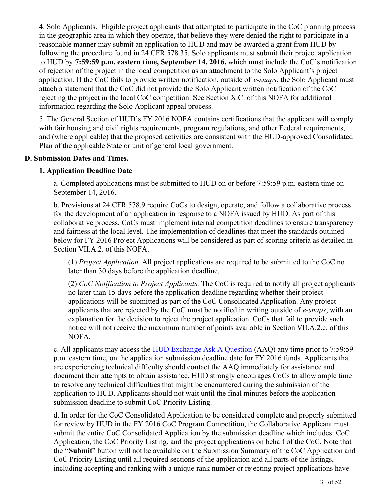4. Solo Applicants. Eligible project applicants that attempted to participate in the CoC planning process in the geographic area in which they operate, that believe they were denied the right to participate in a reasonable manner may submit an application to HUD and may be awarded a grant from HUD by following the procedure found in 24 CFR 578.35. Solo applicants must submit their project application to HUD by **7:59:59 p.m. eastern time, September 14, 2016,** which must include the CoC's notification of rejection of the project in the local competition as an attachment to the Solo Applicant's project application. If the CoC fails to provide written notification, outside of *e-snaps*, the Solo Applicant must attach a statement that the CoC did not provide the Solo Applicant written notification of the CoC rejecting the project in the local CoC competition. See Section X.C. of this NOFA for additional information regarding the Solo Applicant appeal process.

5. The General Section of HUD's FY 2016 NOFA contains certifications that the applicant will comply with fair housing and civil rights requirements, program regulations, and other Federal requirements, and (where applicable) that the proposed activities are consistent with the HUD-approved Consolidated Plan of the applicable State or unit of general local government.

## **D. Submission Dates and Times.**

## **1. Application Deadline Date**

a. Completed applications must be submitted to HUD on or before 7:59:59 p.m. eastern time on September 14, 2016.

b. Provisions at 24 CFR 578.9 require CoCs to design, operate, and follow a collaborative process for the development of an application in response to a NOFA issued by HUD. As part of this collaborative process, CoCs must implement internal competition deadlines to ensure transparency and fairness at the local level. The implementation of deadlines that meet the standards outlined below for FY 2016 Project Applications will be considered as part of scoring criteria as detailed in Section VII.A.2. of this NOFA.

(1) *Project Application.* All project applications are required to be submitted to the CoC no later than 30 days before the application deadline.

(2) *CoC Notification to Project Applicants.* The CoC is required to notify all project applicants no later than 15 days before the application deadline regarding whether their project applications will be submitted as part of the CoC Consolidated Application. Any project applicants that are rejected by the CoC must be notified in writing outside of *e-snaps*, with an explanation for the decision to reject the project application. CoCs that fail to provide such notice will not receive the maximum number of points available in Section VII.A.2.c. of this NOFA.

c. All applicants may access the [HUD Exchange Ask A Question](https://www.hudexchange.info/get-assistance/) (AAQ) any time prior to 7:59:59 p.m. eastern time, on the application submission deadline date for FY 2016 funds. Applicants that are experiencing technical difficulty should contact the AAQ immediately for assistance and document their attempts to obtain assistance. HUD strongly encourages CoCs to allow ample time to resolve any technical difficulties that might be encountered during the submission of the application to HUD. Applicants should not wait until the final minutes before the application submission deadline to submit CoC Priority Listing.

d. In order for the CoC Consolidated Application to be considered complete and properly submitted for review by HUD in the FY 2016 CoC Program Competition, the Collaborative Applicant must submit the entire CoC Consolidated Application by the submission deadline which includes: CoC Application, the CoC Priority Listing, and the project applications on behalf of the CoC. Note that the "**Submit**" button will not be available on the Submission Summary of the CoC Application and CoC Priority Listing until all required sections of the application and all parts of the listings, including accepting and ranking with a unique rank number or rejecting project applications have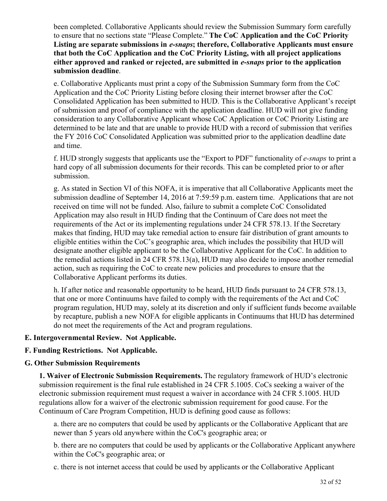been completed. Collaborative Applicants should review the Submission Summary form carefully to ensure that no sections state "Please Complete." **The CoC Application and the CoC Priority Listing are separate submissions in** *e-snaps***; therefore, Collaborative Applicants must ensure that both the CoC Application and the CoC Priority Listing, with all project applications either approved and ranked or rejected, are submitted in** *e-snaps* **prior to the application submission deadline**.

e. Collaborative Applicants must print a copy of the Submission Summary form from the CoC Application and the CoC Priority Listing before closing their internet browser after the CoC Consolidated Application has been submitted to HUD. This is the Collaborative Applicant's receipt of submission and proof of compliance with the application deadline. HUD will not give funding consideration to any Collaborative Applicant whose CoC Application or CoC Priority Listing are determined to be late and that are unable to provide HUD with a record of submission that verifies the FY 2016 CoC Consolidated Application was submitted prior to the application deadline date and time.

f. HUD strongly suggests that applicants use the "Export to PDF" functionality of *e-snaps* to print a hard copy of all submission documents for their records. This can be completed prior to or after submission.

g. As stated in Section VI of this NOFA, it is imperative that all Collaborative Applicants meet the submission deadline of September 14, 2016 at 7:59:59 p.m. eastern time. Applications that are not received on time will not be funded. Also, failure to submit a complete CoC Consolidated Application may also result in HUD finding that the Continuum of Care does not meet the requirements of the Act or its implementing regulations under 24 CFR 578.13. If the Secretary makes that finding, HUD may take remedial action to ensure fair distribution of grant amounts to eligible entities within the CoC's geographic area, which includes the possibility that HUD will designate another eligible applicant to be the Collaborative Applicant for the CoC. In addition to the remedial actions listed in 24 CFR 578.13(a), HUD may also decide to impose another remedial action, such as requiring the CoC to create new policies and procedures to ensure that the Collaborative Applicant performs its duties.

h. If after notice and reasonable opportunity to be heard, HUD finds pursuant to 24 CFR 578.13, that one or more Continuums have failed to comply with the requirements of the Act and CoC program regulation, HUD may, solely at its discretion and only if sufficient funds become available by recapture, publish a new NOFA for eligible applicants in Continuums that HUD has determined do not meet the requirements of the Act and program regulations.

#### **E. Intergovernmental Review. Not Applicable.**

#### **F. Funding Restrictions. Not Applicable.**

#### **G. Other Submission Requirements**

**1. Waiver of Electronic Submission Requirements.** The regulatory framework of HUD's electronic submission requirement is the final rule established in 24 CFR 5.1005. CoCs seeking a waiver of the electronic submission requirement must request a waiver in accordance with 24 CFR 5.1005. HUD regulations allow for a waiver of the electronic submission requirement for good cause. For the Continuum of Care Program Competition, HUD is defining good cause as follows:

a. there are no computers that could be used by applicants or the Collaborative Applicant that are newer than 5 years old anywhere within the CoC's geographic area; or

b. there are no computers that could be used by applicants or the Collaborative Applicant anywhere within the CoC's geographic area; or

c. there is not internet access that could be used by applicants or the Collaborative Applicant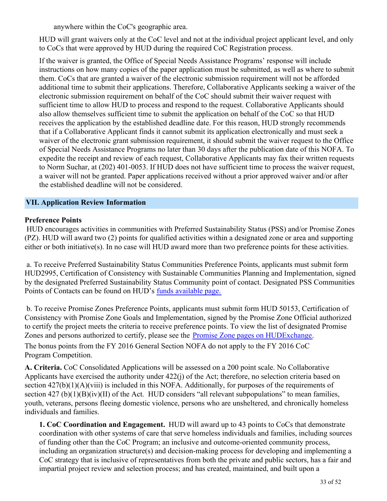anywhere within the CoC's geographic area.

HUD will grant waivers only at the CoC level and not at the individual project applicant level, and only to CoCs that were approved by HUD during the required CoC Registration process.

If the waiver is granted, the Office of Special Needs Assistance Programs' response will include instructions on how many copies of the paper application must be submitted, as well as where to submit them. CoCs that are granted a waiver of the electronic submission requirement will not be afforded additional time to submit their applications. Therefore, Collaborative Applicants seeking a waiver of the electronic submission requirement on behalf of the CoC should submit their waiver request with sufficient time to allow HUD to process and respond to the request. Collaborative Applicants should also allow themselves sufficient time to submit the application on behalf of the CoC so that HUD receives the application by the established deadline date. For this reason, HUD strongly recommends that if a Collaborative Applicant finds it cannot submit its application electronically and must seek a waiver of the electronic grant submission requirement, it should submit the waiver request to the Office of Special Needs Assistance Programs no later than 30 days after the publication date of this NOFA. To expedite the receipt and review of each request, Collaborative Applicants may fax their written requests to Norm Suchar, at (202) 401-0053. If HUD does not have sufficient time to process the waiver request, a waiver will not be granted. Paper applications received without a prior approved waiver and/or after the established deadline will not be considered.

#### <span id="page-34-0"></span>**VII. Application Review Information**

#### **Preference Points**

 HUD encourages activities in communities with Preferred Sustainability Status (PSS) and/or Promise Zones (PZ). HUD will award two (2) points for qualified activities within a designated zone or area and supporting either or both initiative(s). In no case will HUD award more than two preference points for these activities.

 a. To receive Preferred Sustainability Status Communities Preference Points, applicants must submit form HUD2995, Certification of Consistency with Sustainable Communities Planning and Implementation, signed by the designated Preferred Sustainability Status Community point of contact. Designated PSS Communities Points of Contacts can be found on HUD's [funds available page.](http://portal.hud.gov/hudportal/HUD?src=/program_offices/administration/grants/nofa11/psscontacts)

 b. To receive Promise Zones Preference Points, applicants must submit form HUD 50153, Certification of Consistency with Promise Zone Goals and Implementation, signed by the Promise Zone Official authorized to certify the project meets the criteria to receive preference points. To view the list of designated Promise Zones and persons authorized to certify, please see the [Promise Zone pages on HUDExchange](https://www.hudexchange.info/programs/promise-zones/designee-contact-information/). The bonus points from the FY 2016 General Section NOFA do not apply to the FY 2016 CoC

Program Competition.

**A. Criteria.** CoC Consolidated Applications will be assessed on a 200 point scale. No Collaborative Applicants have exercised the authority under 422(j) of the Act; therefore, no selection criteria based on section  $427(b)(1)(A)(viii)$  is included in this NOFA. Additionally, for purposes of the requirements of section  $427$  (b)(1)(B)(iv)(II) of the Act. HUD considers "all relevant subpopulations" to mean families, youth, veterans, persons fleeing domestic violence, persons who are unsheltered, and chronically homeless individuals and families.

**1. CoC Coordination and Engagement.**  HUD will award up to 43 points to CoCs that demonstrate coordination with other systems of care that serve homeless individuals and families, including sources of funding other than the CoC Program; an inclusive and outcome-oriented community process, including an organization structure(s) and decision-making process for developing and implementing a CoC strategy that is inclusive of representatives from both the private and public sectors, has a fair and impartial project review and selection process; and has created, maintained, and built upon a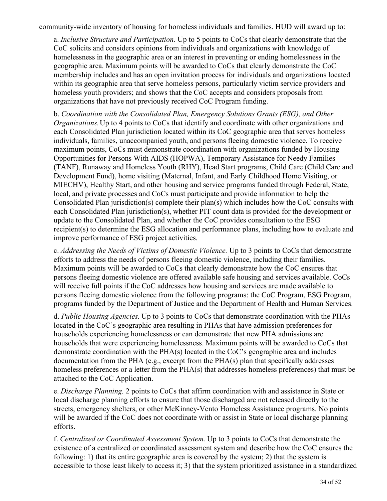community-wide inventory of housing for homeless individuals and families. HUD will award up to:

a. *Inclusive Structure and Participation.* Up to 5 points to CoCs that clearly demonstrate that the CoC solicits and considers opinions from individuals and organizations with knowledge of homelessness in the geographic area or an interest in preventing or ending homelessness in the geographic area. Maximum points will be awarded to CoCs that clearly demonstrate the CoC membership includes and has an open invitation process for individuals and organizations located within its geographic area that serve homeless persons, particularly victim service providers and homeless youth providers; and shows that the CoC accepts and considers proposals from organizations that have not previously received CoC Program funding.

b. *Coordination with the Consolidated Plan, Emergency Solutions Grants (ESG), and Other Organizations.* Up to 4 points to CoCs that identify and coordinate with other organizations and each Consolidated Plan jurisdiction located within its CoC geographic area that serves homeless individuals, families, unaccompanied youth, and persons fleeing domestic violence. To receive maximum points, CoCs must demonstrate coordination with organizations funded by Housing Opportunities for Persons With AIDS (HOPWA), Temporary Assistance for Needy Families (TANF), Runaway and Homeless Youth (RHY), Head Start programs, Child Care (Child Care and Development Fund), home visiting (Maternal, Infant, and Early Childhood Home Visiting, or MIECHV), Healthy Start, and other housing and service programs funded through Federal, State, local, and private processes and CoCs must participate and provide information to help the Consolidated Plan jurisdiction(s) complete their plan(s) which includes how the CoC consults with each Consolidated Plan jurisdiction(s), whether PIT count data is provided for the development or update to the Consolidated Plan, and whether the CoC provides consultation to the ESG recipient(s) to determine the ESG allocation and performance plans, including how to evaluate and improve performance of ESG project activities.

c. *Addressing the Needs of Victims of Domestic Violence.* Up to 3 points to CoCs that demonstrate efforts to address the needs of persons fleeing domestic violence, including their families. Maximum points will be awarded to CoCs that clearly demonstrate how the CoC ensures that persons fleeing domestic violence are offered available safe housing and services available. CoCs will receive full points if the CoC addresses how housing and services are made available to persons fleeing domestic violence from the following programs: the CoC Program, ESG Program, programs funded by the Department of Justice and the Department of Health and Human Services.

d. *Public Housing Agencies.* Up to 3 points to CoCs that demonstrate coordination with the PHAs located in the CoC's geographic area resulting in PHAs that have admission preferences for households experiencing homelessness or can demonstrate that new PHA admissions are households that were experiencing homelessness. Maximum points will be awarded to CoCs that demonstrate coordination with the PHA(s) located in the CoC's geographic area and includes documentation from the PHA (e.g., excerpt from the PHA(s) plan that specifically addresses homeless preferences or a letter from the PHA(s) that addresses homeless preferences) that must be attached to the CoC Application.

e. *Discharge Planning.* 2 points to CoCs that affirm coordination with and assistance in State or local discharge planning efforts to ensure that those discharged are not released directly to the streets, emergency shelters, or other McKinney-Vento Homeless Assistance programs. No points will be awarded if the CoC does not coordinate with or assist in State or local discharge planning efforts.

f. *Centralized or Coordinated Assessment System.* Up to 3 points to CoCs that demonstrate the existence of a centralized or coordinated assessment system and describe how the CoC ensures the following: 1) that its entire geographic area is covered by the system; 2) that the system is accessible to those least likely to access it; 3) that the system prioritized assistance in a standardized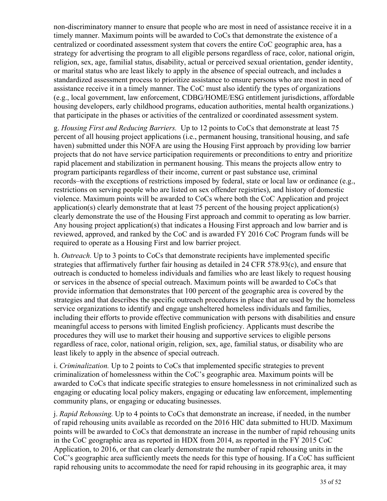non-discriminatory manner to ensure that people who are most in need of assistance receive it in a timely manner. Maximum points will be awarded to CoCs that demonstrate the existence of a centralized or coordinated assessment system that covers the entire CoC geographic area, has a strategy for advertising the program to all eligible persons regardless of race, color, national origin, religion, sex, age, familial status, disability, actual or perceived sexual orientation, gender identity, or marital status who are least likely to apply in the absence of special outreach, and includes a standardized assessment process to prioritize assistance to ensure persons who are most in need of assistance receive it in a timely manner. The CoC must also identify the types of organizations (e.g., local government, law enforcement, CDBG/HOME/ESG entitlement jurisdictions, affordable housing developers, early childhood programs, education authorities, mental health organizations.) that participate in the phases or activities of the centralized or coordinated assessment system.

g. *Housing First and Reducing Barriers.* Up to 12 points to CoCs that demonstrate at least 75 percent of all housing project applications (i.e., permanent housing, transitional housing, and safe haven) submitted under this NOFA are using the Housing First approach by providing low barrier projects that do not have service participation requirements or preconditions to entry and prioritize rapid placement and stabilization in permanent housing. This means the projects allow entry to program participants regardless of their income, current or past substance use, criminal records–with the exceptions of restrictions imposed by federal, state or local law or ordinance (e.g., restrictions on serving people who are listed on sex offender registries), and history of domestic violence. Maximum points will be awarded to CoCs where both the CoC Application and project application(s) clearly demonstrate that at least 75 percent of the housing project application(s) clearly demonstrate the use of the Housing First approach and commit to operating as low barrier. Any housing project application(s) that indicates a Housing First approach and low barrier and is reviewed, approved, and ranked by the CoC and is awarded FY 2016 CoC Program funds will be required to operate as a Housing First and low barrier project.

h. *Outreach.* Up to 3 points to CoCs that demonstrate recipients have implemented specific strategies that affirmatively further fair housing as detailed in 24 CFR 578.93(c), and ensure that outreach is conducted to homeless individuals and families who are least likely to request housing or services in the absence of special outreach. Maximum points will be awarded to CoCs that provide information that demonstrates that 100 percent of the geographic area is covered by the strategies and that describes the specific outreach procedures in place that are used by the homeless service organizations to identify and engage unsheltered homeless individuals and families, including their efforts to provide effective communication with persons with disabilities and ensure meaningful access to persons with limited English proficiency. Applicants must describe the procedures they will use to market their housing and supportive services to eligible persons regardless of race, color, national origin, religion, sex, age, familial status, or disability who are least likely to apply in the absence of special outreach.

i. *Criminalization.* Up to 2 points to CoCs that implemented specific strategies to prevent criminalization of homelessness within the CoC's geographic area. Maximum points will be awarded to CoCs that indicate specific strategies to ensure homelessness in not criminalized such as engaging or educating local policy makers, engaging or educating law enforcement, implementing community plans, or engaging or educating businesses.

j. *Rapid Rehousing.* Up to 4 points to CoCs that demonstrate an increase, if needed, in the number of rapid rehousing units available as recorded on the 2016 HIC data submitted to HUD. Maximum points will be awarded to CoCs that demonstrate an increase in the number of rapid rehousing units in the CoC geographic area as reported in HDX from 2014, as reported in the FY 2015 CoC Application, to 2016, or that can clearly demonstrate the number of rapid rehousing units in the CoC's geographic area sufficiently meets the needs for this type of housing. If a CoC has sufficient rapid rehousing units to accommodate the need for rapid rehousing in its geographic area, it may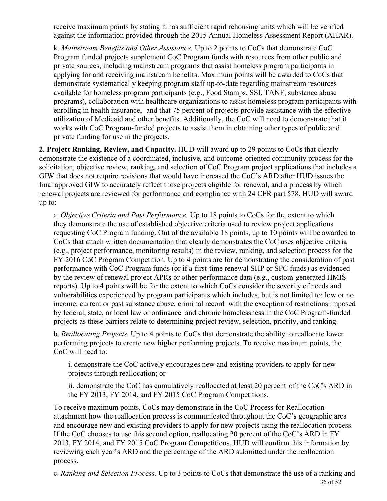receive maximum points by stating it has sufficient rapid rehousing units which will be verified against the information provided through the 2015 Annual Homeless Assessment Report (AHAR).

k. *Mainstream Benefits and Other Assistance.* Up to 2 points to CoCs that demonstrate CoC Program funded projects supplement CoC Program funds with resources from other public and private sources, including mainstream programs that assist homeless program participants in applying for and receiving mainstream benefits. Maximum points will be awarded to CoCs that demonstrate systematically keeping program staff up-to-date regarding mainstream resources available for homeless program participants (e.g., Food Stamps, SSI, TANF, substance abuse programs), collaboration with healthcare organizations to assist homeless program participants with enrolling in health insurance, and that 75 percent of projects provide assistance with the effective utilization of Medicaid and other benefits. Additionally, the CoC will need to demonstrate that it works with CoC Program-funded projects to assist them in obtaining other types of public and private funding for use in the projects.

**2. Project Ranking, Review, and Capacity.** HUD will award up to 29 points to CoCs that clearly demonstrate the existence of a coordinated, inclusive, and outcome-oriented community process for the solicitation, objective review, ranking, and selection of CoC Program project applications that includes a GIW that does not require revisions that would have increased the CoC's ARD after HUD issues the final approved GIW to accurately reflect those projects eligible for renewal, and a process by which renewal projects are reviewed for performance and compliance with 24 CFR part 578. HUD will award up to:

a. *Objective Criteria and Past Performance.* Up to 18 points to CoCs for the extent to which they demonstrate the use of established objective criteria used to review project applications requesting CoC Program funding. Out of the available 18 points, up to 10 points will be awarded to CoCs that attach written documentation that clearly demonstrates the CoC uses objective criteria (e.g., project performance, monitoring results) in the review, ranking, and selection process for the FY 2016 CoC Program Competition. Up to 4 points are for demonstrating the consideration of past performance with CoC Program funds (or if a first-time renewal SHP or SPC funds) as evidenced by the review of renewal project APRs or other performance data (e.g., custom-generated HMIS reports). Up to 4 points will be for the extent to which CoCs consider the severity of needs and vulnerabilities experienced by program participants which includes, but is not limited to: low or no income, current or past substance abuse, criminal record–with the exception of restrictions imposed by federal, state, or local law or ordinance–and chronic homelessness in the CoC Program-funded projects as these barriers relate to determining project review, selection, priority, and ranking.

b. *Reallocating Projects.* Up to 4 points to CoCs that demonstrate the ability to reallocate lower performing projects to create new higher performing projects. To receive maximum points, the CoC will need to:

i. demonstrate the CoC actively encourages new and existing providers to apply for new projects through reallocation; or

ii. demonstrate the CoC has cumulatively reallocated at least 20 percent of the CoC's ARD in the FY 2013, FY 2014, and FY 2015 CoC Program Competitions.

To receive maximum points, CoCs may demonstrate in the CoC Process for Reallocation attachment how the reallocation process is communicated throughout the CoC's geographic area and encourage new and existing providers to apply for new projects using the reallocation process. If the CoC chooses to use this second option, reallocating 20 percent of the CoC's ARD in FY 2013, FY 2014, and FY 2015 CoC Program Competitions, HUD will confirm this information by reviewing each year's ARD and the percentage of the ARD submitted under the reallocation process.

c. *Ranking and Selection Process.* Up to 3 points to CoCs that demonstrate the use of a ranking and 36 of 52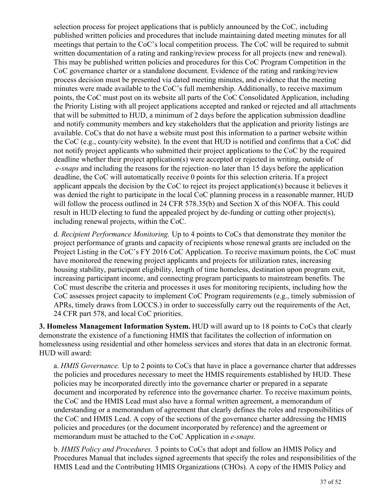selection process for project applications that is publicly announced by the CoC, including published written policies and procedures that include maintaining dated meeting minutes for all meetings that pertain to the CoC's local competition process. The CoC will be required to submit written documentation of a rating and ranking/review process for all projects (new and renewal). This may be published written policies and procedures for this CoC Program Competition in the CoC governance charter or a standalone document. Evidence of the rating and ranking/review process decision must be presented via dated meeting minutes, and evidence that the meeting minutes were made available to the CoC's full membership. Additionally, to receive maximum points, the CoC must post on its website all parts of the CoC Consolidated Application, including the Priority Listing with all project applications accepted and ranked or rejected and all attachments that will be submitted to HUD, a minimum of 2 days before the application submission deadline and notify community members and key stakeholders that the application and priority listings are available. CoCs that do not have a website must post this information to a partner website within the CoC (e.g., county/city website). In the event that HUD is notified and confirms that a CoC did not notify project applicants who submitted their project applications to the CoC by the required deadline whether their project application(s) were accepted or rejected in writing, outside of *e-snaps* and including the reasons for the rejection–no later than 15 days before the application deadline, the CoC will automatically receive 0 points for this selection criteria. If a project applicant appeals the decision by the CoC to reject its project application(s) because it believes it was denied the right to participate in the local CoC planning process in a reasonable manner, HUD will follow the process outlined in 24 CFR 578.35(b) and Section X of this NOFA. This could result in HUD electing to fund the appealed project by de-funding or cutting other project(s), including renewal projects, within the CoC.

d. *Recipient Performance Monitoring.* Up to 4 points to CoCs that demonstrate they monitor the project performance of grants and capacity of recipients whose renewal grants are included on the Project Listing in the CoC's FY 2016 CoC Application. To receive maximum points, the CoC must have monitored the renewing project applicants and projects for utilization rates, increasing housing stability, participant eligibility, length of time homeless, destination upon program exit, increasing participant income, and connecting program participants to mainstream benefits. The CoC must describe the criteria and processes it uses for monitoring recipients, including how the CoC assesses project capacity to implement CoC Program requirements (e.g., timely submission of APRs, timely draws from LOCCS.) in order to successfully carry out the requirements of the Act, 24 CFR part 578, and local CoC priorities.

**3. Homeless Management Information System.** HUD will award up to 18 points to CoCs that clearly demonstrate the existence of a functioning HMIS that facilitates the collection of information on homelessness using residential and other homeless services and stores that data in an electronic format. HUD will award:

a. *HMIS Governance.* Up to 2 points to CoCs that have in place a governance charter that addresses the policies and procedures necessary to meet the HMIS requirements established by HUD. These policies may be incorporated directly into the governance charter or prepared in a separate document and incorporated by reference into the governance charter. To receive maximum points, the CoC and the HMIS Lead must also have a formal written agreement, a memorandum of understanding or a memorandum of agreement that clearly defines the roles and responsibilities of the CoC and HMIS Lead. A copy of the sections of the governance charter addressing the HMIS policies and procedures (or the document incorporated by reference) and the agreement or memorandum must be attached to the CoC Application in *e-snaps.*

b. *HMIS Policy and Procedures.* 3 points to CoCs that adopt and follow an HMIS Policy and Procedures Manual that includes signed agreements that specify the roles and responsibilities of the HMIS Lead and the Contributing HMIS Organizations (CHOs). A copy of the HMIS Policy and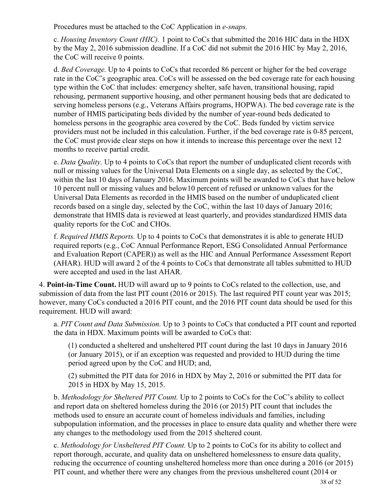Procedures must be attached to the CoC Application in *e-snaps.*

c. *Housing Inventory Count (HIC).* 1 point to CoCs that submitted the 2016 HIC data in the HDX by the May 2, 2016 submission deadline. If a CoC did not submit the 2016 HIC by May 2, 2016, the CoC will receive 0 points.

d. *Bed Coverage.* Up to 4 points to CoCs that recorded 86 percent or higher for the bed coverage rate in the CoC's geographic area. CoCs will be assessed on the bed coverage rate for each housing type within the CoC that includes: emergency shelter, safe haven, transitional housing, rapid rehousing, permanent supportive housing, and other permanent housing beds that are dedicated to serving homeless persons (e.g., Veterans Affairs programs, HOPWA). The bed coverage rate is the number of HMIS participating beds divided by the number of year-round beds dedicated to homeless persons in the geographic area covered by the CoC. Beds funded by victim service providers must not be included in this calculation. Further, if the bed coverage rate is 0-85 percent, the CoC must provide clear steps on how it intends to increase this percentage over the next 12 months to receive partial credit.

e. *Data Quality.* Up to 4 points to CoCs that report the number of unduplicated client records with null or missing values for the Universal Data Elements on a single day, as selected by the CoC, within the last 10 days of January 2016. Maximum points will be awarded to CoCs that have below 10 percent null or missing values and below10 percent of refused or unknown values for the Universal Data Elements as recorded in the HMIS based on the number of unduplicated client records based on a single day, selected by the CoC, within the last 10 days of January 2016; demonstrate that HMIS data is reviewed at least quarterly, and provides standardized HMIS data quality reports for the CoC and CHOs.

f. *Required HMIS Reports.* Up to 4 points to CoCs that demonstrates it is able to generate HUD required reports (e.g., CoC Annual Performance Report, ESG Consolidated Annual Performance and Evaluation Report (CAPER)) as well as the HIC and Annual Performance Assessment Report (AHAR). HUD will award 2 of the 4 points to CoCs that demonstrate all tables submitted to HUD were accepted and used in the last AHAR.

4. **Point-in-Time Count.** HUD will award up to 9 points to CoCs related to the collection, use, and submission of data from the last PIT count (2016 or 2015). The last required PIT count year was 2015; however, many CoCs conducted a 2016 PIT count, and the 2016 PIT count data should be used for this requirement. HUD will award:

a. *PIT Count and Data Submission.* Up to 3 points to CoCs that conducted a PIT count and reported the data in HDX. Maximum points will be awarded to CoCs that:

(1) conducted a sheltered and unsheltered PIT count during the last 10 days in January 2016 (or January 2015), or if an exception was requested and provided to HUD during the time period agreed upon by the CoC and HUD; and,

(2) submitted the PIT data for 2016 in HDX by May 2, 2016 or submitted the PIT data for 2015 in HDX by May 15, 2015.

b. *Methodology for Sheltered PIT Count.* Up to 2 points to CoCs for the CoC's ability to collect and report data on sheltered homeless during the 2016 (or 2015) PIT count that includes the methods used to ensure an accurate count of homeless individuals and families, including subpopulation information, and the processes in place to ensure data quality and whether there were any changes to the methodology used from the 2015 sheltered count.

c. *Methodology for Unsheltered PIT Count.* Up to 2 points to CoCs for its ability to collect and report thorough, accurate, and quality data on unsheltered homelessness to ensure data quality, reducing the occurrence of counting unsheltered homeless more than once during a 2016 (or 2015) PIT count, and whether there were any changes from the previous unsheltered count (2014 or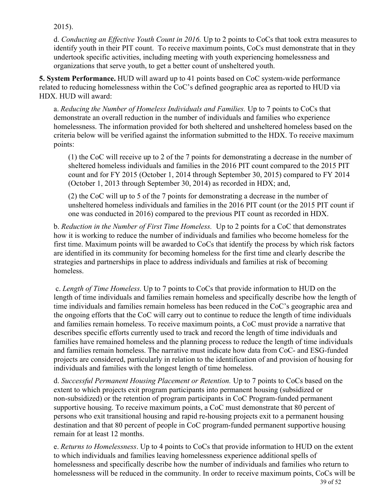2015).

d. *Conducting an Effective Youth Count in 2016.* Up to 2 points to CoCs that took extra measures to identify youth in their PIT count. To receive maximum points, CoCs must demonstrate that in they undertook specific activities, including meeting with youth experiencing homelessness and organizations that serve youth, to get a better count of unsheltered youth.

**5. System Performance.** HUD will award up to 41 points based on CoC system-wide performance related to reducing homelessness within the CoC's defined geographic area as reported to HUD via HDX. HUD will award:

a. *Reducing the Number of Homeless Individuals and Families.* Up to 7 points to CoCs that demonstrate an overall reduction in the number of individuals and families who experience homelessness. The information provided for both sheltered and unsheltered homeless based on the criteria below will be verified against the information submitted to the HDX. To receive maximum points:

(1) the CoC will receive up to 2 of the 7 points for demonstrating a decrease in the number of sheltered homeless individuals and families in the 2016 PIT count compared to the 2015 PIT count and for FY 2015 (October 1, 2014 through September 30, 2015) compared to FY 2014 (October 1, 2013 through September 30, 2014) as recorded in HDX; and,

(2) the CoC will up to 5 of the 7 points for demonstrating a decrease in the number of unsheltered homeless individuals and families in the 2016 PIT count (or the 2015 PIT count if one was conducted in 2016) compared to the previous PIT count as recorded in HDX.

b. *Reduction in the Number of First Time Homeless.* Up to 2 points for a CoC that demonstrates how it is working to reduce the number of individuals and families who become homeless for the first time. Maximum points will be awarded to CoCs that identify the process by which risk factors are identified in its community for becoming homeless for the first time and clearly describe the strategies and partnerships in place to address individuals and families at risk of becoming homeless.

 c. *Length of Time Homeless.* Up to 7 points to CoCs that provide information to HUD on the length of time individuals and families remain homeless and specifically describe how the length of time individuals and families remain homeless has been reduced in the CoC's geographic area and the ongoing efforts that the CoC will carry out to continue to reduce the length of time individuals and families remain homeless. To receive maximum points, a CoC must provide a narrative that describes specific efforts currently used to track and record the length of time individuals and families have remained homeless and the planning process to reduce the length of time individuals and families remain homeless. The narrative must indicate how data from CoC- and ESG-funded projects are considered, particularly in relation to the identification of and provision of housing for individuals and families with the longest length of time homeless.

d. *Successful Permanent Housing Placement or Retention.* Up to 7 points to CoCs based on the extent to which projects exit program participants into permanent housing (subsidized or non-subsidized) or the retention of program participants in CoC Program-funded permanent supportive housing. To receive maximum points, a CoC must demonstrate that 80 percent of persons who exit transitional housing and rapid re-housing projects exit to a permanent housing destination and that 80 percent of people in CoC program-funded permanent supportive housing remain for at least 12 months.

e. *Returns to Homelessness*. Up to 4 points to CoCs that provide information to HUD on the extent to which individuals and families leaving homelessness experience additional spells of homelessness and specifically describe how the number of individuals and families who return to homelessness will be reduced in the community. In order to receive maximum points, CoCs will be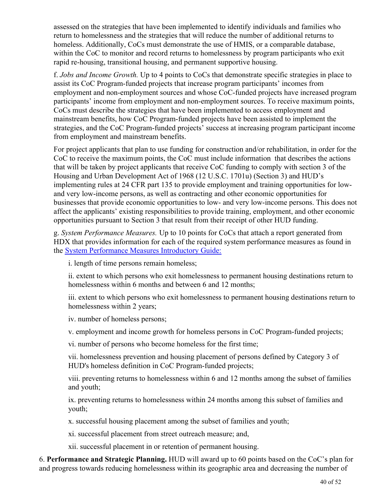assessed on the strategies that have been implemented to identify individuals and families who return to homelessness and the strategies that will reduce the number of additional returns to homeless. Additionally, CoCs must demonstrate the use of HMIS, or a comparable database, within the CoC to monitor and record returns to homelessness by program participants who exit rapid re-housing, transitional housing, and permanent supportive housing.

f. *Jobs and Income Growth.* Up to 4 points to CoCs that demonstrate specific strategies in place to assist its CoC Program-funded projects that increase program participants' incomes from employment and non-employment sources and whose CoC-funded projects have increased program participants' income from employment and non-employment sources. To receive maximum points, CoCs must describe the strategies that have been implemented to access employment and mainstream benefits, how CoC Program-funded projects have been assisted to implement the strategies, and the CoC Program-funded projects' success at increasing program participant income from employment and mainstream benefits.

For project applicants that plan to use funding for construction and/or rehabilitation, in order for the CoC to receive the maximum points, the CoC must include information that describes the actions that will be taken by project applicants that receive CoC funding to comply with section 3 of the Housing and Urban Development Act of 1968 (12 U.S.C. 1701u) (Section 3) and HUD's implementing rules at 24 CFR part 135 to provide employment and training opportunities for lowand very low-income persons, as well as contracting and other economic opportunities for businesses that provide economic opportunities to low- and very low-income persons. This does not affect the applicants' existing responsibilities to provide training, employment, and other economic opportunities pursuant to Section 3 that result from their receipt of other HUD funding.

g. *System Performance Measures.* Up to 10 points for CoCs that attach a report generated from HDX that provides information for each of the required system performance measures as found in the [System Performance Measures Introductory Guide:](https://www.hudexchange.info/resource/3894/system-performance-measures-introductory-guide/)

i. length of time persons remain homeless;

ii. extent to which persons who exit homelessness to permanent housing destinations return to homelessness within 6 months and between 6 and 12 months;

iii. extent to which persons who exit homelessness to permanent housing destinations return to homelessness within 2 years;

iv. number of homeless persons;

v. employment and income growth for homeless persons in CoC Program-funded projects;

vi. number of persons who become homeless for the first time;

vii. homelessness prevention and housing placement of persons defined by Category 3 of HUD's homeless definition in CoC Program-funded projects;

viii. preventing returns to homelessness within 6 and 12 months among the subset of families and youth;

ix. preventing returns to homelessness within 24 months among this subset of families and youth;

x. successful housing placement among the subset of families and youth;

xi. successful placement from street outreach measure; and,

xii. successful placement in or retention of permanent housing.

6. **Performance and Strategic Planning.** HUD will award up to 60 points based on the CoC's plan for and progress towards reducing homelessness within its geographic area and decreasing the number of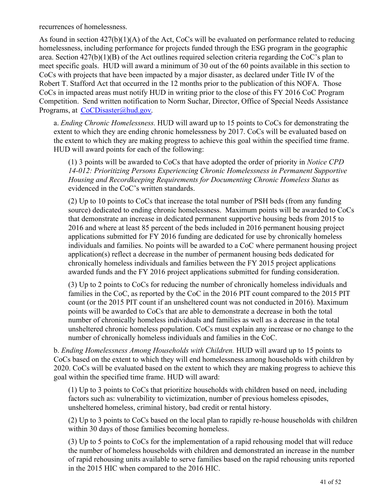recurrences of homelessness.

As found in section 427(b)(1)(A) of the Act, CoCs will be evaluated on performance related to reducing homelessness, including performance for projects funded through the ESG program in the geographic area. Section 427(b)(1)(B) of the Act outlines required selection criteria regarding the CoC's plan to meet specific goals. HUD will award a minimum of 30 out of the 60 points available in this section to CoCs with projects that have been impacted by a major disaster, as declared under Title IV of the Robert T. Stafford Act that occurred in the 12 months prior to the publication of this NOFA. Those CoCs in impacted areas must notify HUD in writing prior to the close of this FY 2016 CoC Program Competition. Send written notification to Norm Suchar, Director, Office of Special Needs Assistance Programs, at [CoCDisaster@hud.gov](mailto:CoCDisaster@hud.gov).

a. *Ending Chronic Homelessness.* HUD will award up to 15 points to CoCs for demonstrating the extent to which they are ending chronic homelessness by 2017. CoCs will be evaluated based on the extent to which they are making progress to achieve this goal within the specified time frame. HUD will award points for each of the following:

(1) 3 points will be awarded to CoCs that have adopted the order of priority in *Notice CPD 14-012: Prioritizing Persons Experiencing Chronic Homelessness in Permanent Supportive Housing and Recordkeeping Requirements for Documenting Chronic Homeless Status* as evidenced in the CoC's written standards.

(2) Up to 10 points to CoCs that increase the total number of PSH beds (from any funding source) dedicated to ending chronic homelessness. Maximum points will be awarded to CoCs that demonstrate an increase in dedicated permanent supportive housing beds from 2015 to 2016 and where at least 85 percent of the beds included in 2016 permanent housing project applications submitted for FY 2016 funding are dedicated for use by chronically homeless individuals and families. No points will be awarded to a CoC where permanent housing project application(s) reflect a decrease in the number of permanent housing beds dedicated for chronically homeless individuals and families between the FY 2015 project applications awarded funds and the FY 2016 project applications submitted for funding consideration.

(3) Up to 2 points to CoCs for reducing the number of chronically homeless individuals and families in the CoC, as reported by the CoC in the 2016 PIT count compared to the 2015 PIT count (or the 2015 PIT count if an unsheltered count was not conducted in 2016). Maximum points will be awarded to CoCs that are able to demonstrate a decrease in both the total number of chronically homeless individuals and families as well as a decrease in the total unsheltered chronic homeless population. CoCs must explain any increase or no change to the number of chronically homeless individuals and families in the CoC.

b. *Ending Homelessness Among Households with Children.* HUD will award up to 15 points to CoCs based on the extent to which they will end homelessness among households with children by 2020. CoCs will be evaluated based on the extent to which they are making progress to achieve this goal within the specified time frame. HUD will award:

(1) Up to 3 points to CoCs that prioritize households with children based on need, including factors such as: vulnerability to victimization, number of previous homeless episodes, unsheltered homeless, criminal history, bad credit or rental history.

(2) Up to 3 points to CoCs based on the local plan to rapidly re-house households with children within 30 days of those families becoming homeless.

(3) Up to 5 points to CoCs for the implementation of a rapid rehousing model that will reduce the number of homeless households with children and demonstrated an increase in the number of rapid rehousing units available to serve families based on the rapid rehousing units reported in the 2015 HIC when compared to the 2016 HIC.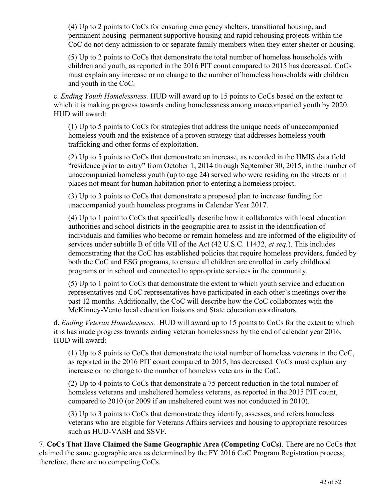(4) Up to 2 points to CoCs for ensuring emergency shelters, transitional housing, and permanent housing–permanent supportive housing and rapid rehousing projects within the CoC do not deny admission to or separate family members when they enter shelter or housing.

(5) Up to 2 points to CoCs that demonstrate the total number of homeless households with children and youth, as reported in the 2016 PIT count compared to 2015 has decreased. CoCs must explain any increase or no change to the number of homeless households with children and youth in the CoC.

c. *Ending Youth Homelessness.* HUD will award up to 15 points to CoCs based on the extent to which it is making progress towards ending homelessness among unaccompanied youth by 2020. HUD will award:

(1) Up to 5 points to CoCs for strategies that address the unique needs of unaccompanied homeless youth and the existence of a proven strategy that addresses homeless youth trafficking and other forms of exploitation.

(2) Up to 5 points to CoCs that demonstrate an increase, as recorded in the HMIS data field "residence prior to entry" from October 1, 2014 through September 30, 2015, in the number of unaccompanied homeless youth (up to age 24) served who were residing on the streets or in places not meant for human habitation prior to entering a homeless project.

(3) Up to 3 points to CoCs that demonstrate a proposed plan to increase funding for unaccompanied youth homeless programs in Calendar Year 2017.

(4) Up to 1 point to CoCs that specifically describe how it collaborates with local education authorities and school districts in the geographic area to assist in the identification of individuals and families who become or remain homeless and are informed of the eligibility of services under subtitle B of title VII of the Act (42 U.S.C. 11432, *et seq.*). This includes demonstrating that the CoC has established policies that require homeless providers, funded by both the CoC and ESG programs, to ensure all children are enrolled in early childhood programs or in school and connected to appropriate services in the community.

(5) Up to 1 point to CoCs that demonstrate the extent to which youth service and education representatives and CoC representatives have participated in each other's meetings over the past 12 months. Additionally, the CoC will describe how the CoC collaborates with the McKinney-Vento local education liaisons and State education coordinators.

d. *Ending Veteran Homelessness.* HUD will award up to 15 points to CoCs for the extent to which it is has made progress towards ending veteran homelessness by the end of calendar year 2016. HUD will award:

(1) Up to 8 points to CoCs that demonstrate the total number of homeless veterans in the CoC, as reported in the 2016 PIT count compared to 2015, has decreased. CoCs must explain any increase or no change to the number of homeless veterans in the CoC.

(2) Up to 4 points to CoCs that demonstrate a 75 percent reduction in the total number of homeless veterans and unsheltered homeless veterans, as reported in the 2015 PIT count, compared to 2010 (or 2009 if an unsheltered count was not conducted in 2010).

(3) Up to 3 points to CoCs that demonstrate they identify, assesses, and refers homeless veterans who are eligible for Veterans Affairs services and housing to appropriate resources such as HUD-VASH and SSVF.

7. **CoCs That Have Claimed the Same Geographic Area (Competing CoCs)**. There are no CoCs that claimed the same geographic area as determined by the FY 2016 CoC Program Registration process; therefore, there are no competing CoCs.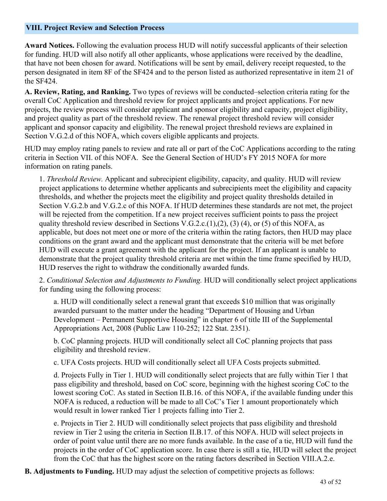#### <span id="page-44-0"></span>**VIII. Project Review and Selection Process**

**Award Notices.** Following the evaluation process HUD will notify successful applicants of their selection for funding. HUD will also notify all other applicants, whose applications were received by the deadline, that have not been chosen for award. Notifications will be sent by email, delivery receipt requested, to the person designated in item 8F of the SF424 and to the person listed as authorized representative in item 21 of the SF424.

**A. Review, Rating, and Ranking.** Two types of reviews will be conducted–selection criteria rating for the overall CoC Application and threshold review for project applicants and project applications. For new projects, the review process will consider applicant and sponsor eligibility and capacity, project eligibility, and project quality as part of the threshold review. The renewal project threshold review will consider applicant and sponsor capacity and eligibility. The renewal project threshold reviews are explained in Section V.G.2.d of this NOFA, which covers eligible applicants and projects.

HUD may employ rating panels to review and rate all or part of the CoC Applications according to the rating criteria in Section VII. of this NOFA. See the General Section of HUD's FY 2015 NOFA for more information on rating panels.

1. *Threshold Review.* Applicant and subrecipient eligibility, capacity, and quality. HUD will review project applications to determine whether applicants and subrecipients meet the eligibility and capacity thresholds, and whether the projects meet the eligibility and project quality thresholds detailed in Section V.G.2.b and V.G.2.c of this NOFA. If HUD determines these standards are not met, the project will be rejected from the competition. If a new project receives sufficient points to pass the project quality threshold review described in Sections V.G.2.c.(1),(2), (3) (4), or (5) of this NOFA, as applicable, but does not meet one or more of the criteria within the rating factors, then HUD may place conditions on the grant award and the applicant must demonstrate that the criteria will be met before HUD will execute a grant agreement with the applicant for the project. If an applicant is unable to demonstrate that the project quality threshold criteria are met within the time frame specified by HUD, HUD reserves the right to withdraw the conditionally awarded funds.

2. *Conditional Selection and Adjustments to Funding.* HUD will conditionally select project applications for funding using the following process:

a. HUD will conditionally select a renewal grant that exceeds \$10 million that was originally awarded pursuant to the matter under the heading "Department of Housing and Urban Development – Permanent Supportive Housing" in chapter 6 of title III of the Supplemental Appropriations Act, 2008 (Public Law 110-252; 122 Stat. 2351).

b. CoC planning projects. HUD will conditionally select all CoC planning projects that pass eligibility and threshold review.

c. UFA Costs projects. HUD will conditionally select all UFA Costs projects submitted.

d. Projects Fully in Tier 1. HUD will conditionally select projects that are fully within Tier 1 that pass eligibility and threshold, based on CoC score, beginning with the highest scoring CoC to the lowest scoring CoC. As stated in Section II.B.16. of this NOFA, if the available funding under this NOFA is reduced, a reduction will be made to all CoC's Tier 1 amount proportionately which would result in lower ranked Tier 1 projects falling into Tier 2.

e. Projects in Tier 2. HUD will conditionally select projects that pass eligibility and threshold review in Tier 2 using the criteria in Section II.B.17. of this NOFA. HUD will select projects in order of point value until there are no more funds available. In the case of a tie, HUD will fund the projects in the order of CoC application score. In case there is still a tie, HUD will select the project from the CoC that has the highest score on the rating factors described in Section VIII.A.2.e.

**B. Adjustments to Funding.** HUD may adjust the selection of competitive projects as follows: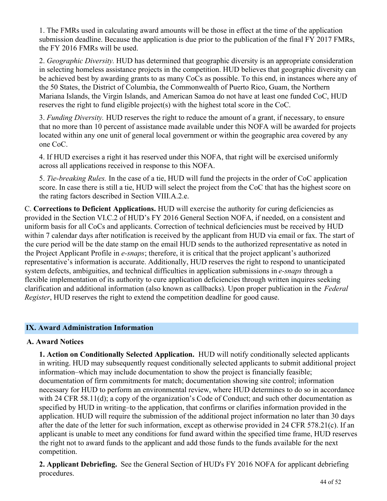1. The FMRs used in calculating award amounts will be those in effect at the time of the application submission deadline. Because the application is due prior to the publication of the final FY 2017 FMRs, the FY 2016 FMRs will be used.

2. *Geographic Diversity.* HUD has determined that geographic diversity is an appropriate consideration in selecting homeless assistance projects in the competition. HUD believes that geographic diversity can be achieved best by awarding grants to as many CoCs as possible. To this end, in instances where any of the 50 States, the District of Columbia, the Commonwealth of Puerto Rico, Guam, the Northern Mariana Islands, the Virgin Islands, and American Samoa do not have at least one funded CoC, HUD reserves the right to fund eligible project(s) with the highest total score in the CoC.

3. *Funding Diversity.* HUD reserves the right to reduce the amount of a grant, if necessary, to ensure that no more than 10 percent of assistance made available under this NOFA will be awarded for projects located within any one unit of general local government or within the geographic area covered by any one CoC.

4. If HUD exercises a right it has reserved under this NOFA, that right will be exercised uniformly across all applications received in response to this NOFA.

5. *Tie-breaking Rules.* In the case of a tie, HUD will fund the projects in the order of CoC application score. In case there is still a tie, HUD will select the project from the CoC that has the highest score on the rating factors described in Section VIII.A.2.e.

C. **Corrections to Deficient Applications.** HUD will exercise the authority for curing deficiencies as provided in the Section VI.C.2 of HUD's FY 2016 General Section NOFA, if needed, on a consistent and uniform basis for all CoCs and applicants. Correction of technical deficiencies must be received by HUD within 7 calendar days after notification is received by the applicant from HUD via email or fax. The start of the cure period will be the date stamp on the email HUD sends to the authorized representative as noted in the Project Applicant Profile in *e-snaps*; therefore, it is critical that the project applicant's authorized representative's information is accurate. Additionally, HUD reserves the right to respond to unanticipated system defects, ambiguities, and technical difficulties in application submissions in *e-snaps* through a flexible implementation of its authority to cure application deficiencies through written inquires seeking clarification and additional information (also known as callbacks). Upon proper publication in the *Federal Register*, HUD reserves the right to extend the competition deadline for good cause.

#### <span id="page-45-0"></span>**IX. Award Administration Information**

#### **A. Award Notices**

**1. Action on Conditionally Selected Application.** HUD will notify conditionally selected applicants in writing. HUD may subsequently request conditionally selected applicants to submit additional project information–which may include documentation to show the project is financially feasible; documentation of firm commitments for match; documentation showing site control; information necessary for HUD to perform an environmental review, where HUD determines to do so in accordance with 24 CFR 58.11(d); a copy of the organization's Code of Conduct; and such other documentation as specified by HUD in writing–to the application, that confirms or clarifies information provided in the application. HUD will require the submission of the additional project information no later than 30 days after the date of the letter for such information, except as otherwise provided in 24 CFR 578.21(c). If an applicant is unable to meet any conditions for fund award within the specified time frame, HUD reserves the right not to award funds to the applicant and add those funds to the funds available for the next competition.

**2. Applicant Debriefing.** See the General Section of HUD's FY 2016 NOFA for applicant debriefing procedures.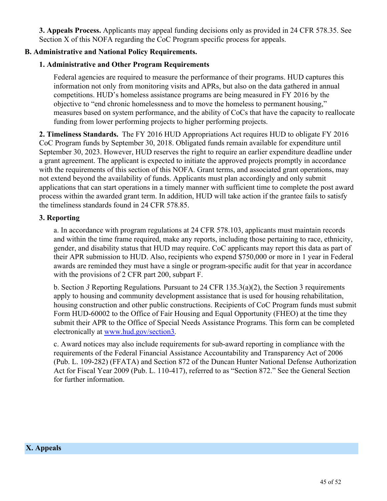**3. Appeals Process.** Applicants may appeal funding decisions only as provided in 24 CFR 578.35. See Section X of this NOFA regarding the CoC Program specific process for appeals.

## **B. Administrative and National Policy Requirements.**

## **1. Administrative and Other Program Requirements**

Federal agencies are required to measure the performance of their programs. HUD captures this information not only from monitoring visits and APRs, but also on the data gathered in annual competitions. HUD's homeless assistance programs are being measured in FY 2016 by the objective to "end chronic homelessness and to move the homeless to permanent housing," measures based on system performance, and the ability of CoCs that have the capacity to reallocate funding from lower performing projects to higher performing projects.

**2. Timeliness Standards.**  The FY 2016 HUD Appropriations Act requires HUD to obligate FY 2016 CoC Program funds by September 30, 2018. Obligated funds remain available for expenditure until September 30, 2023. However, HUD reserves the right to require an earlier expenditure deadline under a grant agreement. The applicant is expected to initiate the approved projects promptly in accordance with the requirements of this section of this NOFA. Grant terms, and associated grant operations, may not extend beyond the availability of funds. Applicants must plan accordingly and only submit applications that can start operations in a timely manner with sufficient time to complete the post award process within the awarded grant term. In addition, HUD will take action if the grantee fails to satisfy the timeliness standards found in 24 CFR 578.85.

#### **3. Reporting**

a. In accordance with program regulations at 24 CFR 578.103, applicants must maintain records and within the time frame required, make any reports, including those pertaining to race, ethnicity, gender, and disability status that HUD may require. CoC applicants may report this data as part of their APR submission to HUD. Also, recipients who expend \$750,000 or more in 1 year in Federal awards are reminded they must have a single or program-specific audit for that year in accordance with the provisions of 2 CFR part 200, subpart F.

b. Section *3* Reporting Regulations*.* Pursuant to 24 CFR 135.3(a)(2), the Section 3 requirements apply to housing and community development assistance that is used for housing rehabilitation, housing construction and other public constructions. Recipients of CoC Program funds must submit Form HUD-60002 to the Office of Fair Housing and Equal Opportunity (FHEO) at the time they submit their APR to the Office of Special Needs Assistance Programs. This form can be completed electronically at [www.hud.gov/section3](file:///C:/Users/H46451/AppData/Local/Microsoft/Windows/H46451/AppData/Roaming/Microsoft/Word/www.hud.gov/section3).

<span id="page-46-0"></span>c. Award notices may also include requirements for sub-award reporting in compliance with the requirements of the Federal Financial Assistance Accountability and Transparency Act of 2006 (Pub. L. 109-282) (FFATA) and Section 872 of the Duncan Hunter National Defense Authorization Act for Fiscal Year 2009 (Pub. L. 110-417), referred to as "Section 872." See the General Section for further information.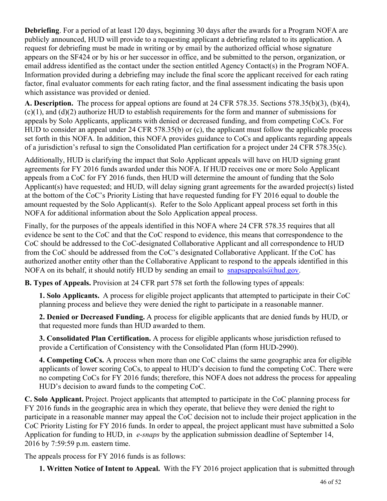**Debriefing**. For a period of at least 120 days, beginning 30 days after the awards for a Program NOFA are publicly announced, HUD will provide to a requesting applicant a debriefing related to its application. A request for debriefing must be made in writing or by email by the authorized official whose signature appears on the SF424 or by his or her successor in office, and be submitted to the person, organization, or email address identified as the contact under the section entitled Agency Contact(s) in the Program NOFA. Information provided during a debriefing may include the final score the applicant received for each rating factor, final evaluator comments for each rating factor, and the final assessment indicating the basis upon which assistance was provided or denied.

**A. Description.** The process for appeal options are found at 24 CFR 578.35. Sections 578.35(b)(3), (b)(4), (c)(1), and (d)(2) authorize HUD to establish requirements for the form and manner of submissions for appeals by Solo Applicants, applicants with denied or decreased funding, and from competing CoCs. For HUD to consider an appeal under 24 CFR 578.35(b) or (c), the applicant must follow the applicable process set forth in this NOFA. In addition, this NOFA provides guidance to CoCs and applicants regarding appeals of a jurisdiction's refusal to sign the Consolidated Plan certification for a project under 24 CFR 578.35(c).

Additionally, HUD is clarifying the impact that Solo Applicant appeals will have on HUD signing grant agreements for FY 2016 funds awarded under this NOFA. If HUD receives one or more Solo Applicant appeals from a CoC for FY 2016 funds, then HUD will determine the amount of funding that the Solo Applicant(s) have requested; and HUD, will delay signing grant agreements for the awarded project(s) listed at the bottom of the CoC's Priority Listing that have requested funding for FY 2016 equal to double the amount requested by the Solo Applicant(s). Refer to the Solo Applicant appeal process set forth in this NOFA for additional information about the Solo Application appeal process.

Finally, for the purposes of the appeals identified in this NOFA where 24 CFR 578.35 requires that all evidence be sent to the CoC and that the CoC respond to evidence, this means that correspondence to the CoC should be addressed to the CoC-designated Collaborative Applicant and all correspondence to HUD from the CoC should be addressed from the CoC's designated Collaborative Applicant. If the CoC has authorized another entity other than the Collaborative Applicant to respond to the appeals identified in this NOFA on its behalf, it should notify HUD by sending an email to snapsappeals  $\omega$ hud.gov.

**B. Types of Appeals.** Provision at 24 CFR part 578 set forth the following types of appeals:

**1. Solo Applicants.** A process for eligible project applicants that attempted to participate in their CoC planning process and believe they were denied the right to participate in a reasonable manner.

**2. Denied or Decreased Funding.** A process for eligible applicants that are denied funds by HUD, or that requested more funds than HUD awarded to them.

**3. Consolidated Plan Certification.** A process for eligible applicants whose jurisdiction refused to provide a Certification of Consistency with the Consolidated Plan (form HUD-2990).

**4. Competing CoCs.** A process when more than one CoC claims the same geographic area for eligible applicants of lower scoring CoCs, to appeal to HUD's decision to fund the competing CoC. There were no competing CoCs for FY 2016 funds; therefore, this NOFA does not address the process for appealing HUD's decision to award funds to the competing CoC.

**C. Solo Applicant.** Project. Project applicants that attempted to participate in the CoC planning process for FY 2016 funds in the geographic area in which they operate, that believe they were denied the right to participate in a reasonable manner may appeal the CoC decision not to include their project application in the CoC Priority Listing for FY 2016 funds. In order to appeal, the project applicant must have submitted a Solo Application for funding to HUD, in *e-snaps* by the application submission deadline of September 14, 2016 by 7:59:59 p.m. eastern time.

The appeals process for FY 2016 funds is as follows:

**1. Written Notice of Intent to Appeal.** With the FY 2016 project application that is submitted through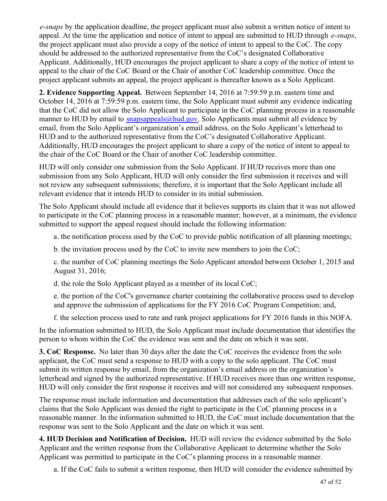*e-snaps* by the application deadline, the project applicant must also submit a written notice of intent to appeal. At the time the application and notice of intent to appeal are submitted to HUD through *e-snaps*, the project applicant must also provide a copy of the notice of intent to appeal to the CoC. The copy should be addressed to the authorized representative from the CoC's designated Collaborative Applicant. Additionally, HUD encourages the project applicant to share a copy of the notice of intent to appeal to the chair of the CoC Board or the Chair of another CoC leadership committee. Once the project applicant submits an appeal, the project applicant is thereafter known as a Solo Applicant.

**2. Evidence Supporting Appeal.** Between September 14, 2016 at 7:59:59 p.m. eastern time and October 14, 2016 at 7:59:59 p.m. eastern time, the Solo Applicant must submit any evidence indicating that the CoC did not allow the Solo Applicant to participate in the CoC planning process in a reasonable manner to HUD by email to snapsappeals  $\omega$  and  $\omega$ . Solo Applicants must submit all evidence by email, from the Solo Applicant's organization's email address, on the Solo Applicant's letterhead to HUD and to the authorized representative from the CoC's designated Collaborative Applicant. Additionally, HUD encourages the project applicant to share a copy of the notice of intent to appeal to the chair of the CoC Board or the Chair of another CoC leadership committee.

HUD will only consider one submission from the Solo Applicant. If HUD receives more than one submission from any Solo Applicant, HUD will only consider the first submission it receives and will not review any subsequent submissions; therefore, it is important that the Solo Applicant include all relevant evidence that it intends HUD to consider in its initial submission.

The Solo Applicant should include all evidence that it believes supports its claim that it was not allowed to participate in the CoC planning process in a reasonable manner; however, at a minimum, the evidence submitted to support the appeal request should include the following information:

a. the notification process used by the CoC to provide public notification of all planning meetings;

b. the invitation process used by the CoC to invite new members to join the CoC;

c. the number of CoC planning meetings the Solo Applicant attended between October 1, 2015 and August 31, 2016;

d. the role the Solo Applicant played as a member of its local CoC;

e. the portion of the CoC's governance charter containing the collaborative process used to develop and approve the submission of applications for the FY 2016 CoC Program Competition; and,

f. the selection process used to rate and rank project applications for FY 2016 funds in this NOFA.

In the information submitted to HUD, the Solo Applicant must include documentation that identifies the person to whom within the CoC the evidence was sent and the date on which it was sent.

**3. CoC Response.** No later than 30 days after the date the CoC receives the evidence from the solo applicant, the CoC must send a response to HUD with a copy to the solo applicant. The CoC must submit its written response by email, from the organization's email address on the organization's letterhead and signed by the authorized representative. If HUD receives more than one written response, HUD will only consider the first response it receives and will not considered any subsequent responses.

The response must include information and documentation that addresses each of the solo applicant's claims that the Solo Applicant was denied the right to participate in the CoC planning process in a reasonable manner. In the information submitted to HUD, the CoC must include documentation that the response was sent to the Solo Applicant and the date on which it was sent.

**4. HUD Decision and Notification of Decision.** HUD will review the evidence submitted by the Solo Applicant and the written response from the Collaborative Applicant to determine whether the Solo Applicant was permitted to participate in the CoC's planning process in a reasonable manner.

a. If the CoC fails to submit a written response, then HUD will consider the evidence submitted by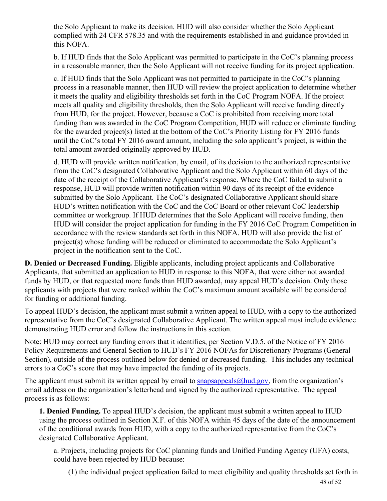the Solo Applicant to make its decision. HUD will also consider whether the Solo Applicant complied with 24 CFR 578.35 and with the requirements established in and guidance provided in this NOFA.

b. If HUD finds that the Solo Applicant was permitted to participate in the CoC's planning process in a reasonable manner, then the Solo Applicant will not receive funding for its project application.

c. If HUD finds that the Solo Applicant was not permitted to participate in the CoC's planning process in a reasonable manner, then HUD will review the project application to determine whether it meets the quality and eligibility thresholds set forth in the CoC Program NOFA. If the project meets all quality and eligibility thresholds, then the Solo Applicant will receive funding directly from HUD, for the project. However, because a CoC is prohibited from receiving more total funding than was awarded in the CoC Program Competition, HUD will reduce or eliminate funding for the awarded project(s) listed at the bottom of the CoC's Priority Listing for FY 2016 funds until the CoC's total FY 2016 award amount, including the solo applicant's project, is within the total amount awarded originally approved by HUD.

d. HUD will provide written notification, by email, of its decision to the authorized representative from the CoC's designated Collaborative Applicant and the Solo Applicant within 60 days of the date of the receipt of the Collaborative Applicant's response. Where the CoC failed to submit a response, HUD will provide written notification within 90 days of its receipt of the evidence submitted by the Solo Applicant. The CoC's designated Collaborative Applicant should share HUD's written notification with the CoC and the CoC Board or other relevant CoC leadership committee or workgroup. If HUD determines that the Solo Applicant will receive funding, then HUD will consider the project application for funding in the FY 2016 CoC Program Competition in accordance with the review standards set forth in this NOFA. HUD will also provide the list of project(s) whose funding will be reduced or eliminated to accommodate the Solo Applicant's project in the notification sent to the CoC.

**D. Denied or Decreased Funding.** Eligible applicants, including project applicants and Collaborative Applicants, that submitted an application to HUD in response to this NOFA, that were either not awarded funds by HUD, or that requested more funds than HUD awarded, may appeal HUD's decision. Only those applicants with projects that were ranked within the CoC's maximum amount available will be considered for funding or additional funding.

To appeal HUD's decision, the applicant must submit a written appeal to HUD, with a copy to the authorized representative from the CoC's designated Collaborative Applicant. The written appeal must include evidence demonstrating HUD error and follow the instructions in this section.

Note: HUD may correct any funding errors that it identifies, per Section V.D.5. of the Notice of FY 2016 Policy Requirements and General Section to HUD's FY 2016 NOFAs for Discretionary Programs (General Section), outside of the process outlined below for denied or decreased funding. This includes any technical errors to a CoC's score that may have impacted the funding of its projects.

The applicant must submit its written appeal by email to  $\frac{\text{snapsappeals}(a) \text{had.gov}}{\text{gov}}$ , from the organization's email address on the organization's letterhead and signed by the authorized representative. The appeal process is as follows:

**1. Denied Funding.** To appeal HUD's decision, the applicant must submit a written appeal to HUD using the process outlined in Section X.F. of this NOFA within 45 days of the date of the announcement of the conditional awards from HUD, with a copy to the authorized representative from the CoC's designated Collaborative Applicant.

a. Projects, including projects for CoC planning funds and Unified Funding Agency (UFA) costs, could have been rejected by HUD because:

(1) the individual project application failed to meet eligibility and quality thresholds set forth in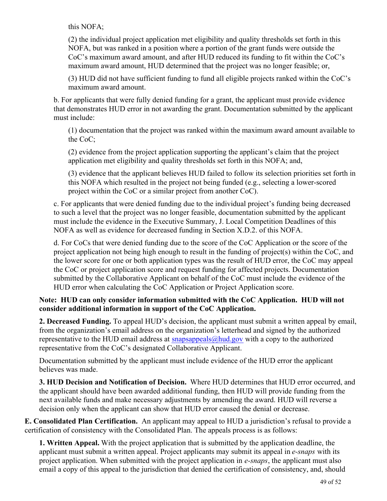this NOFA;

(2) the individual project application met eligibility and quality thresholds set forth in this NOFA, but was ranked in a position where a portion of the grant funds were outside the CoC's maximum award amount, and after HUD reduced its funding to fit within the CoC's maximum award amount, HUD determined that the project was no longer feasible; or,

(3) HUD did not have sufficient funding to fund all eligible projects ranked within the CoC's maximum award amount.

b. For applicants that were fully denied funding for a grant, the applicant must provide evidence that demonstrates HUD error in not awarding the grant. Documentation submitted by the applicant must include:

(1) documentation that the project was ranked within the maximum award amount available to the CoC;

(2) evidence from the project application supporting the applicant's claim that the project application met eligibility and quality thresholds set forth in this NOFA; and,

(3) evidence that the applicant believes HUD failed to follow its selection priorities set forth in this NOFA which resulted in the project not being funded (e.g., selecting a lower-scored project within the CoC or a similar project from another CoC).

c. For applicants that were denied funding due to the individual project's funding being decreased to such a level that the project was no longer feasible, documentation submitted by the applicant must include the evidence in the Executive Summary, J. Local Competition Deadlines of this NOFA as well as evidence for decreased funding in Section X.D.2. of this NOFA.

d. For CoCs that were denied funding due to the score of the CoC Application or the score of the project application not being high enough to result in the funding of project(s) within the CoC, and the lower score for one or both application types was the result of HUD error, the CoC may appeal the CoC or project application score and request funding for affected projects. Documentation submitted by the Collaborative Applicant on behalf of the CoC must include the evidence of the HUD error when calculating the CoC Application or Project Application score.

## **Note: HUD can only consider information submitted with the CoC Application. HUD will not consider additional information in support of the CoC Application.**

**2. Decreased Funding.** To appeal HUD's decision, the applicant must submit a written appeal by email, from the organization's email address on the organization's letterhead and signed by the authorized representative to the HUD email address at [snapsappeals@hud.gov](mailto:snapsappeals@hud.gov) with a copy to the authorized representative from the CoC's designated Collaborative Applicant.

Documentation submitted by the applicant must include evidence of the HUD error the applicant believes was made.

**3. HUD Decision and Notification of Decision.** Where HUD determines that HUD error occurred, and the applicant should have been awarded additional funding, then HUD will provide funding from the next available funds and make necessary adjustments by amending the award. HUD will reverse a decision only when the applicant can show that HUD error caused the denial or decrease.

**E. Consolidated Plan Certification.** An applicant may appeal to HUD a jurisdiction's refusal to provide a certification of consistency with the Consolidated Plan. The appeals process is as follows:

**1. Written Appeal.** With the project application that is submitted by the application deadline, the applicant must submit a written appeal. Project applicants may submit its appeal in *e-snaps* with its project application. When submitted with the project application in *e-snaps*, the applicant must also email a copy of this appeal to the jurisdiction that denied the certification of consistency, and, should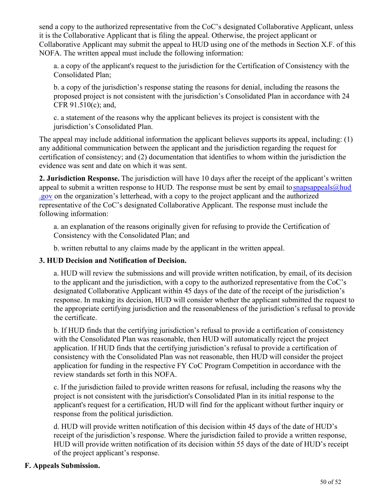send a copy to the authorized representative from the CoC's designated Collaborative Applicant, unless it is the Collaborative Applicant that is filing the appeal. Otherwise, the project applicant or Collaborative Applicant may submit the appeal to HUD using one of the methods in Section X.F. of this NOFA. The written appeal must include the following information:

a. a copy of the applicant's request to the jurisdiction for the Certification of Consistency with the Consolidated Plan;

b. a copy of the jurisdiction's response stating the reasons for denial, including the reasons the proposed project is not consistent with the jurisdiction's Consolidated Plan in accordance with 24 CFR 91.510(c); and,

c. a statement of the reasons why the applicant believes its project is consistent with the jurisdiction's Consolidated Plan.

The appeal may include additional information the applicant believes supports its appeal, including: (1) any additional communication between the applicant and the jurisdiction regarding the request for certification of consistency; and (2) documentation that identifies to whom within the jurisdiction the evidence was sent and date on which it was sent.

**2. Jurisdiction Response.** The jurisdiction will have 10 days after the receipt of the applicant's written appeal to submit a written response to HUD. The response must be sent by email to snapsappeals  $\omega$  hud [.gov](mailto:snapsappeals@hud.gov) on the organization's letterhead, with a copy to the project applicant and the authorized representative of the CoC's designated Collaborative Applicant. The response must include the following information:

a. an explanation of the reasons originally given for refusing to provide the Certification of Consistency with the Consolidated Plan; and

b. written rebuttal to any claims made by the applicant in the written appeal.

## **3. HUD Decision and Notification of Decision.**

a. HUD will review the submissions and will provide written notification, by email, of its decision to the applicant and the jurisdiction, with a copy to the authorized representative from the CoC's designated Collaborative Applicant within 45 days of the date of the receipt of the jurisdiction's response. In making its decision, HUD will consider whether the applicant submitted the request to the appropriate certifying jurisdiction and the reasonableness of the jurisdiction's refusal to provide the certificate.

b. If HUD finds that the certifying jurisdiction's refusal to provide a certification of consistency with the Consolidated Plan was reasonable, then HUD will automatically reject the project application. If HUD finds that the certifying jurisdiction's refusal to provide a certification of consistency with the Consolidated Plan was not reasonable, then HUD will consider the project application for funding in the respective FY CoC Program Competition in accordance with the review standards set forth in this NOFA.

c. If the jurisdiction failed to provide written reasons for refusal, including the reasons why the project is not consistent with the jurisdiction's Consolidated Plan in its initial response to the applicant's request for a certification, HUD will find for the applicant without further inquiry or response from the political jurisdiction.

d. HUD will provide written notification of this decision within 45 days of the date of HUD's receipt of the jurisdiction's response. Where the jurisdiction failed to provide a written response, HUD will provide written notification of its decision within 55 days of the date of HUD's receipt of the project applicant's response.

## **F. Appeals Submission.**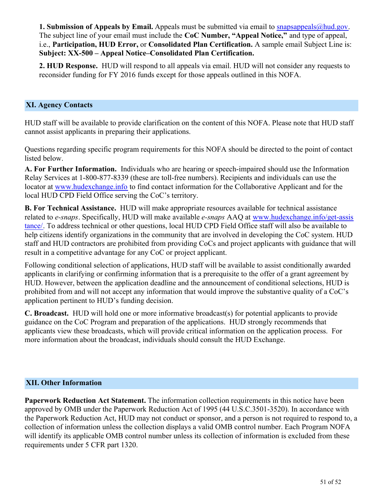**1. Submission of Appeals by Email.** Appeals must be submitted via email to [snapsappeals@hud.gov](mailto:snapsappeals@hud.gov). The subject line of your email must include the **CoC Number, "Appeal Notice,"** and type of appeal, i.e., **Participation, HUD Error,** or **Consolidated Plan Certification.** A sample email Subject Line is: **Subject: XX-500 – Appeal Notice–Consolidated Plan Certification.**

**2. HUD Response.** HUD will respond to all appeals via email. HUD will not consider any requests to reconsider funding for FY 2016 funds except for those appeals outlined in this NOFA.

#### <span id="page-52-0"></span>**XI. Agency Contacts**

HUD staff will be available to provide clarification on the content of this NOFA. Please note that HUD staff cannot assist applicants in preparing their applications.

Questions regarding specific program requirements for this NOFA should be directed to the point of contact listed below.

**A. For Further Information.** Individuals who are hearing or speech-impaired should use the Information Relay Services at 1-800-877-8339 (these are toll-free numbers). Recipients and individuals can use the locator at [www.hudexchange.info](http://www.hudexchange.info/) to find contact information for the Collaborative Applicant and for the local HUD CPD Field Office serving the CoC's territory.

**B. For Technical Assistance.**  HUD will make appropriate resources available for technical assistance related to *e-snaps*. Specifically, HUD will make available *e-snaps* AAQ at [www.hudexchange.info/get-assis](http://www.hudexchange.info/get-assistance/) [tance/](http://www.hudexchange.info/get-assistance/). To address technical or other questions, local HUD CPD Field Office staff will also be available to help citizens identify organizations in the community that are involved in developing the CoC system. HUD staff and HUD contractors are prohibited from providing CoCs and project applicants with guidance that will result in a competitive advantage for any CoC or project applicant.

Following conditional selection of applications, HUD staff will be available to assist conditionally awarded applicants in clarifying or confirming information that is a prerequisite to the offer of a grant agreement by HUD. However, between the application deadline and the announcement of conditional selections, HUD is prohibited from and will not accept any information that would improve the substantive quality of a CoC's application pertinent to HUD's funding decision.

**C. Broadcast.**  HUD will hold one or more informative broadcast(s) for potential applicants to provide guidance on the CoC Program and preparation of the applications. HUD strongly recommends that applicants view these broadcasts, which will provide critical information on the application process. For more information about the broadcast, individuals should consult the HUD Exchange.

#### <span id="page-52-1"></span>**XII. Other Information**

**Paperwork Reduction Act Statement.** The information collection requirements in this notice have been approved by OMB under the Paperwork Reduction Act of 1995 (44 U.S.C.3501-3520). In accordance with the Paperwork Reduction Act, HUD may not conduct or sponsor, and a person is not required to respond to, a collection of information unless the collection displays a valid OMB control number. Each Program NOFA will identify its applicable OMB control number unless its collection of information is excluded from these requirements under 5 CFR part 1320.